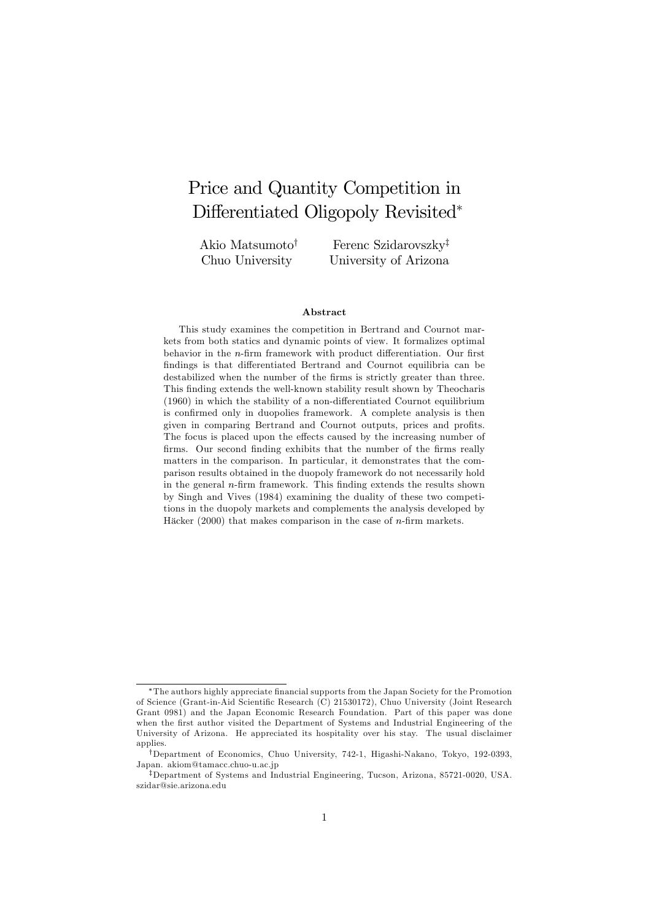# Price and Quantity Competition in Differentiated Oligopoly Revisited\*

Akio Matsumoto<sup>†</sup> Chuo University

Ferenc Szidarovszky<sup>‡</sup> University of Arizona

#### Abstract

This study examines the competition in Bertrand and Cournot markets from both statics and dynamic points of view. It formalizes optimal behavior in the  $n$ -firm framework with product differentiation. Our first findings is that differentiated Bertrand and Cournot equilibria can be destabilized when the number of the firms is strictly greater than three. This finding extends the well-known stability result shown by Theocharis  $(1960)$  in which the stability of a non-differentiated Cournot equilibrium is confirmed only in duopolies framework. A complete analysis is then given in comparing Bertrand and Cournot outputs, prices and profits. The focus is placed upon the effects caused by the increasing number of firms. Our second finding exhibits that the number of the firms really matters in the comparison. In particular, it demonstrates that the comparison results obtained in the duopoly framework do not necessarily hold in the general  $n$ -firm framework. This finding extends the results shown by Singh and Vives (1984) examining the duality of these two competitions in the duopoly markets and complements the analysis developed by Häcker (2000) that makes comparison in the case of  $n$ -firm markets.

The authors highly appreciate Önancial supports from the Japan Society for the Promotion of Science (Grant-in-Aid Scientific Research (C) 21530172), Chuo University (Joint Research Grant 0981) and the Japan Economic Research Foundation. Part of this paper was done when the first author visited the Department of Systems and Industrial Engineering of the University of Arizona. He appreciated its hospitality over his stay. The usual disclaimer applies.

<sup>&</sup>lt;sup>†</sup>Department of Economics, Chuo University, 742-1, Higashi-Nakano, Tokyo, 192-0393, Japan. akiom@tamacc.chuo-u.ac.jp

<sup>&</sup>lt;sup>‡</sup>Department of Systems and Industrial Engineering, Tucson, Arizona, 85721-0020, USA. szidar@sie.arizona.edu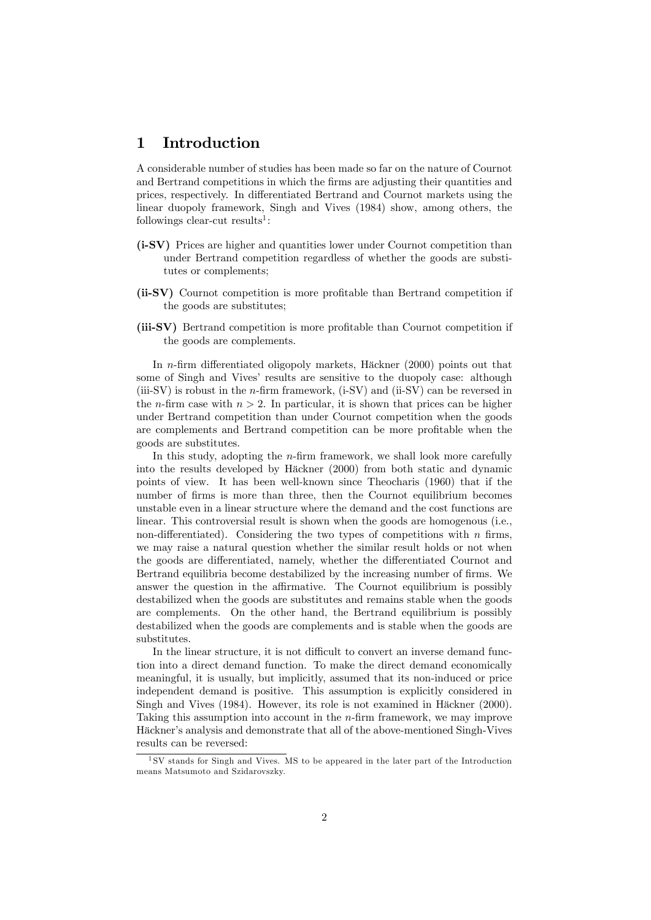### 1 Introduction

A considerable number of studies has been made so far on the nature of Cournot and Bertrand competitions in which the firms are adjusting their quantities and prices, respectively. In differentiated Bertrand and Cournot markets using the linear duopoly framework, Singh and Vives (1984) show, among others, the  $\text{following} \, \text{clear-cut} \, \text{results}^1$ :

- (i-SV) Prices are higher and quantities lower under Cournot competition than under Bertrand competition regardless of whether the goods are substitutes or complements;
- (ii-SV) Cournot competition is more profitable than Bertrand competition if the goods are substitutes;
- (iii-SV) Bertrand competition is more profitable than Cournot competition if the goods are complements.

In *n*-firm differentiated oligopoly markets, Häckner  $(2000)$  points out that some of Singh and Vives' results are sensitive to the duopoly case: although (iii-SV) is robust in the *n*-firm framework, (i-SV) and (ii-SV) can be reversed in the *n*-firm case with  $n > 2$ . In particular, it is shown that prices can be higher under Bertrand competition than under Cournot competition when the goods are complements and Bertrand competition can be more profitable when the goods are substitutes.

In this study, adopting the  $n$ -firm framework, we shall look more carefully into the results developed by Häckner (2000) from both static and dynamic points of view. It has been well-known since Theocharis (1960) that if the number of firms is more than three, then the Cournot equilibrium becomes unstable even in a linear structure where the demand and the cost functions are linear. This controversial result is shown when the goods are homogenous (i.e., non-differentiated). Considering the two types of competitions with  $n$  firms, we may raise a natural question whether the similar result holds or not when the goods are differentiated, namely, whether the differentiated Cournot and Bertrand equilibria become destabilized by the increasing number of firms. We answer the question in the affirmative. The Cournot equilibrium is possibly destabilized when the goods are substitutes and remains stable when the goods are complements. On the other hand, the Bertrand equilibrium is possibly destabilized when the goods are complements and is stable when the goods are substitutes.

In the linear structure, it is not difficult to convert an inverse demand function into a direct demand function. To make the direct demand economically meaningful, it is usually, but implicitly, assumed that its non-induced or price independent demand is positive. This assumption is explicitly considered in Singh and Vives (1984). However, its role is not examined in Häckner (2000). Taking this assumption into account in the  $n$ -firm framework, we may improve Häckner's analysis and demonstrate that all of the above-mentioned Singh-Vives results can be reversed:

<sup>1</sup> SV stands for Singh and Vives. MS to be appeared in the later part of the Introduction means Matsumoto and Szidarovszky.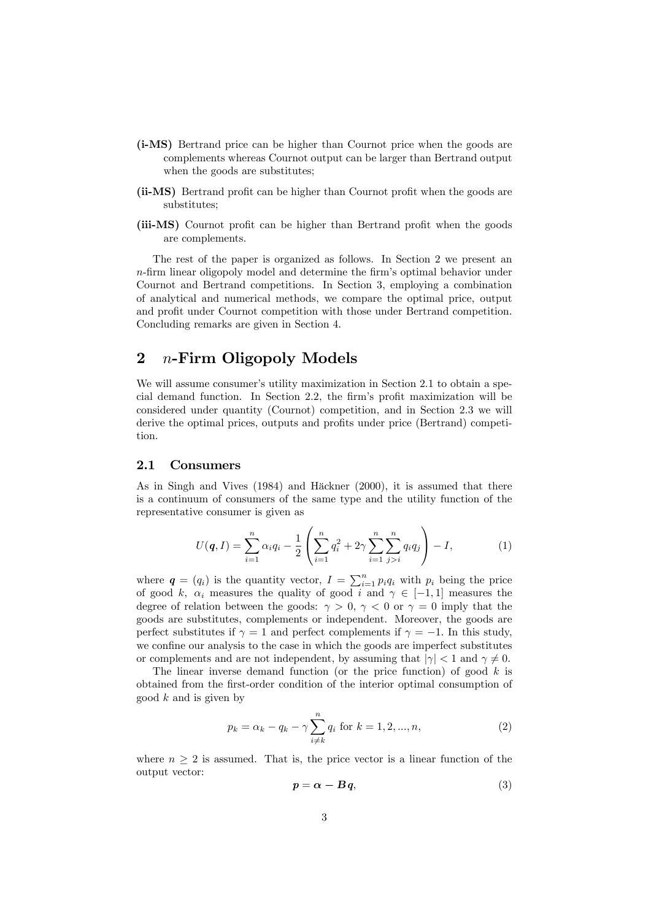- (i-MS) Bertrand price can be higher than Cournot price when the goods are complements whereas Cournot output can be larger than Bertrand output when the goods are substitutes;
- (ii-MS) Bertrand profit can be higher than Cournot profit when the goods are substitutes;
- (iii-MS) Cournot profit can be higher than Bertrand profit when the goods are complements.

The rest of the paper is organized as follows. In Section 2 we present an  $n$ -firm linear oligopoly model and determine the firm's optimal behavior under Cournot and Bertrand competitions. In Section 3, employing a combination of analytical and numerical methods, we compare the optimal price, output and profit under Cournot competition with those under Bertrand competition. Concluding remarks are given in Section 4.

# 2  $n$ -Firm Oligopoly Models

We will assume consumer's utility maximization in Section 2.1 to obtain a special demand function. In Section 2.2, the firm's profit maximization will be considered under quantity (Cournot) competition, and in Section 2.3 we will derive the optimal prices, outputs and profits under price (Bertrand) competition.

### 2.1 Consumers

As in Singh and Vives (1984) and Häckner (2000), it is assumed that there is a continuum of consumers of the same type and the utility function of the representative consumer is given as

$$
U(q, I) = \sum_{i=1}^{n} \alpha_i q_i - \frac{1}{2} \left( \sum_{i=1}^{n} q_i^2 + 2\gamma \sum_{i=1}^{n} \sum_{j>i}^{n} q_i q_j \right) - I, \qquad (1)
$$

where  $q = (q_i)$  is the quantity vector,  $I = \sum_{i=1}^{n} p_i q_i$  with  $p_i$  being the price of good k,  $\alpha_i$  measures the quality of good i and  $\gamma \in [-1, 1]$  measures the degree of relation between the goods:  $\gamma > 0$ ,  $\gamma < 0$  or  $\gamma = 0$  imply that the goods are substitutes, complements or independent. Moreover, the goods are perfect substitutes if  $\gamma = 1$  and perfect complements if  $\gamma = -1$ . In this study, we confine our analysis to the case in which the goods are imperfect substitutes or complements and are not independent, by assuming that  $|\gamma| < 1$  and  $\gamma \neq 0$ .

The linear inverse demand function (or the price function) of good  $k$  is obtained from the first-order condition of the interior optimal consumption of good  $k$  and is given by

$$
p_k = \alpha_k - q_k - \gamma \sum_{i \neq k}^{n} q_i \text{ for } k = 1, 2, ..., n,
$$
 (2)

where  $n \geq 2$  is assumed. That is, the price vector is a linear function of the output vector:

$$
p = \alpha - Bq, \tag{3}
$$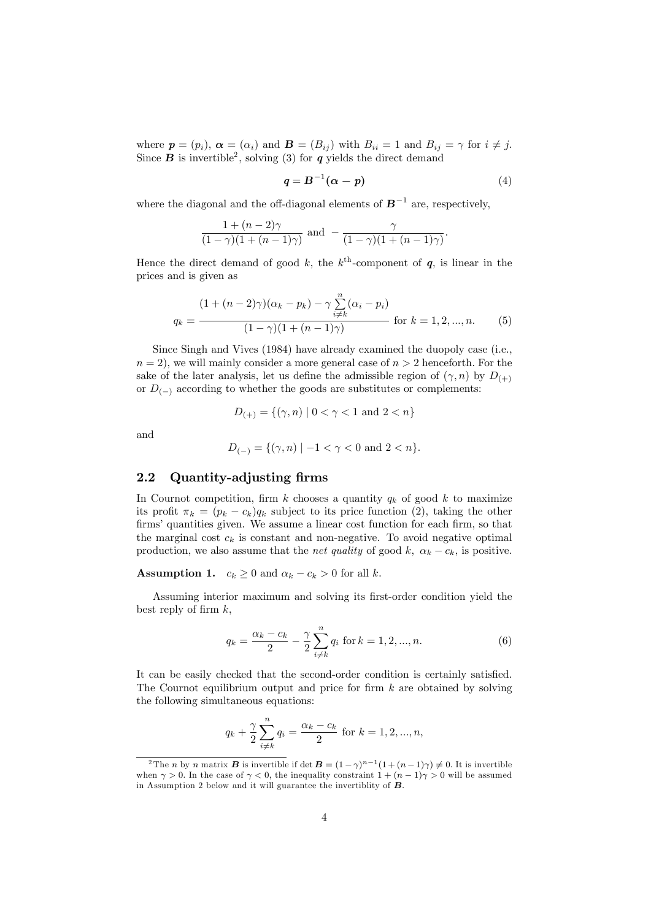where  $p = (p_i)$ ,  $\alpha = (\alpha_i)$  and  $\mathbf{B} = (B_{ij})$  with  $B_{ii} = 1$  and  $B_{ij} = \gamma$  for  $i \neq j$ . Since **B** is invertible<sup>2</sup>, solving (3) for **q** yields the direct demand

$$
q = B^{-1}(\alpha - p) \tag{4}
$$

where the diagonal and the off-diagonal elements of  $B^{-1}$  are, respectively,

$$
\frac{1+(n-2)\gamma}{(1-\gamma)(1+(n-1)\gamma)} \text{ and } -\frac{\gamma}{(1-\gamma)(1+(n-1)\gamma)}.
$$

Hence the direct demand of good k, the  $k^{\text{th}}$ -component of  $q$ , is linear in the prices and is given as

$$
q_k = \frac{(1 + (n-2)\gamma)(\alpha_k - p_k) - \gamma \sum_{i \neq k}^n (\alpha_i - p_i)}{(1 - \gamma)(1 + (n-1)\gamma)}
$$
 for  $k = 1, 2, ..., n$ . (5)

Since Singh and Vives (1984) have already examined the duopoly case (i.e.,  $n = 2$ , we will mainly consider a more general case of  $n > 2$  henceforth. For the sake of the later analysis, let us define the admissible region of  $(\gamma, n)$  by  $D_{(+)}$ or  $D_{(-)}$  according to whether the goods are substitutes or complements:

$$
D_{(+)} = \{ (\gamma, n) \mid 0 < \gamma < 1 \text{ and } 2 < n \}
$$

and

$$
D_{(-)} = \{ (\gamma, n) \mid -1 < \gamma < 0 \text{ and } 2 < n \}.
$$

### 2.2 Quantity-adjusting firms

In Cournot competition, firm k chooses a quantity  $q_k$  of good k to maximize its profit  $\pi_k = (p_k - c_k)q_k$  subject to its price function (2), taking the other firms' quantities given. We assume a linear cost function for each firm, so that the marginal cost  $c_k$  is constant and non-negative. To avoid negative optimal production, we also assume that the *net quality* of good k,  $\alpha_k - c_k$ , is positive.

### **Assumption 1.**  $c_k \geq 0$  and  $\alpha_k - c_k > 0$  for all k.

Assuming interior maximum and solving its first-order condition yield the best reply of firm  $k$ ,

$$
q_k = \frac{\alpha_k - c_k}{2} - \frac{\gamma}{2} \sum_{i \neq k}^{n} q_i \text{ for } k = 1, 2, ..., n.
$$
 (6)

It can be easily checked that the second-order condition is certainly satisfied. The Cournot equilibrium output and price for firm  $k$  are obtained by solving the following simultaneous equations:

$$
q_k + \frac{\gamma}{2} \sum_{i \neq k}^{n} q_i = \frac{\alpha_k - c_k}{2} \text{ for } k = 1, 2, ..., n,
$$

<sup>&</sup>lt;sup>2</sup>The *n* by *n* matrix *B* is invertible if  $\det \mathbf{B} = (1 - \gamma)^{n-1}(1 + (n-1)\gamma) \neq 0$ . It is invertible when  $\gamma > 0$ . In the case of  $\gamma < 0$ , the inequality constraint  $1 + (n - 1)\gamma > 0$  will be assumed in Assumption 2 below and it will guarantee the invertiblity of  $\overline{B}$ .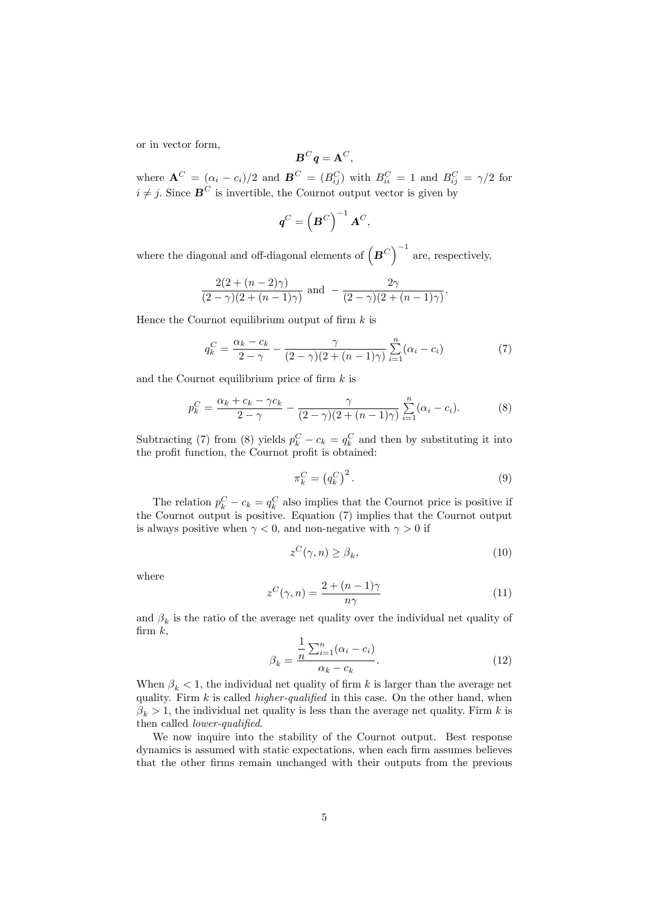or in vector form,

$$
\boldsymbol{B}^C\boldsymbol{q}=\mathbf{A}^C,
$$

where  $\mathbf{A}^C = (\alpha_i - c_i)/2$  and  $\mathbf{B}^C = (B_{ij}^C)$  with  $B_{ii}^C = 1$  and  $B_{ij}^C = \gamma/2$  for  $i \neq j$ . Since  $\mathbf{B}^C$  is invertible, the Cournot output vector is given by

$$
\boldsymbol{q}^C = \left(\boldsymbol{B}^C\right)^{-1}\boldsymbol{A}^C,
$$

where the diagonal and off-diagonal elements of  $(B^C)^{-1}$  are, respectively,

$$
\frac{2(2+(n-2)\gamma)}{(2-\gamma)(2+(n-1)\gamma)} \text{ and } -\frac{2\gamma}{(2-\gamma)(2+(n-1)\gamma)}.
$$

Hence the Cournot equilibrium output of firm  $k$  is

$$
q_k^C = \frac{\alpha_k - c_k}{2 - \gamma} - \frac{\gamma}{(2 - \gamma)(2 + (n - 1)\gamma)} \sum_{i=1}^n (\alpha_i - c_i)
$$
 (7)

and the Cournot equilibrium price of firm  $k$  is

$$
p_k^C = \frac{\alpha_k + c_k - \gamma c_k}{2 - \gamma} - \frac{\gamma}{(2 - \gamma)(2 + (n - 1)\gamma)} \sum_{i=1}^n (\alpha_i - c_i).
$$
 (8)

Subtracting (7) from (8) yields  $p_k^C - c_k = q_k^C$  and then by substituting it into the profit function, the Cournot profit is obtained:

$$
\pi_k^C = \left(q_k^C\right)^2. \tag{9}
$$

The relation  $p_k^C - c_k = q_k^C$  also implies that the Cournot price is positive if the Cournot output is positive. Equation (7) implies that the Cournot output is always positive when  $\gamma < 0$ , and non-negative with  $\gamma > 0$  if

$$
z^{C}(\gamma, n) \ge \beta_{k},\tag{10}
$$

where

$$
z^{C}(\gamma, n) = \frac{2 + (n - 1)\gamma}{n\gamma}
$$
\n(11)

and  $\beta_k$  is the ratio of the average net quality over the individual net quality of firm  $k$ ,

z

$$
\beta_k = \frac{\frac{1}{n} \sum_{i=1}^n (\alpha_i - c_i)}{\alpha_k - c_k}.
$$
\n(12)

When  $\beta_k < 1$ , the individual net quality of firm k is larger than the average net quality. Firm  $k$  is called *higher-qualified* in this case. On the other hand, when  $\beta_k > 1$ , the individual net quality is less than the average net quality. Firm k is then called *lower-qualified*.

We now inquire into the stability of the Cournot output. Best response dynamics is assumed with static expectations, when each firm assumes believes that the other Örms remain unchanged with their outputs from the previous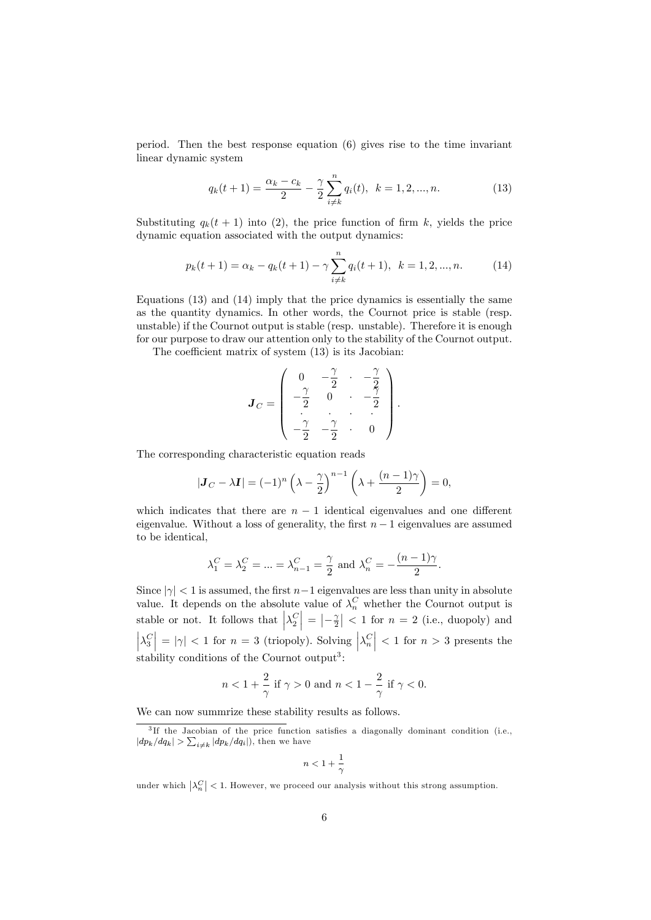period. Then the best response equation (6) gives rise to the time invariant linear dynamic system

$$
q_k(t+1) = \frac{\alpha_k - c_k}{2} - \frac{\gamma}{2} \sum_{i \neq k}^{n} q_i(t), \ \ k = 1, 2, ..., n. \tag{13}
$$

Substituting  $q_k(t + 1)$  into (2), the price function of firm k, yields the price dynamic equation associated with the output dynamics:

$$
p_k(t+1) = \alpha_k - q_k(t+1) - \gamma \sum_{i \neq k}^{n} q_i(t+1), \ \ k = 1, 2, ..., n. \tag{14}
$$

Equations (13) and (14) imply that the price dynamics is essentially the same as the quantity dynamics: In other words, the Cournot price is stable (resp. unstable) if the Cournot output is stable (resp. unstable). Therefore it is enough for our purpose to draw our attention only to the stability of the Cournot output.

The coefficient matrix of system  $(13)$  is its Jacobian:

$$
\boldsymbol{J}_C = \left( \begin{array}{cccc} 0 & -\frac{\gamma}{2} & \cdot & -\frac{\gamma}{2} \\ -\frac{\gamma}{2} & 0 & \cdot & -\frac{\gamma}{2} \\ \cdot & \cdot & \cdot & \cdot \\ -\frac{\gamma}{2} & -\frac{\gamma}{2} & \cdot & 0 \end{array} \right).
$$

The corresponding characteristic equation reads

$$
|\mathbf{J}_C - \lambda \mathbf{I}| = (-1)^n \left(\lambda - \frac{\gamma}{2}\right)^{n-1} \left(\lambda + \frac{(n-1)\gamma}{2}\right) = 0,
$$

which indicates that there are  $n-1$  identical eigenvalues and one different eigenvalue. Without a loss of generality, the first  $n - 1$  eigenvalues are assumed to be identical,

$$
\lambda_1^C = \lambda_2^C = ... = \lambda_{n-1}^C = \frac{\gamma}{2}
$$
 and  $\lambda_n^C = -\frac{(n-1)\gamma}{2}$ .

Since  $|\gamma|$  < 1 is assumed, the first  $n-1$  eigenvalues are less than unity in absolute value. It depends on the absolute value of  $\lambda_n^C$  whether the Cournot output is stable or not. It follows that  $\left|\lambda_2^C\right| = \left|-\frac{\gamma}{2}\right| < 1$  for  $n = 2$  (i.e., duopoly) and  $\left|\lambda_3^C\right| = |\gamma| < 1$  for  $n = 3$  (triopoly). Solving  $\left|\lambda_n^C\right| < 1$  for  $n > 3$  presents the stability conditions of the Cournot output<sup>3</sup>:

$$
n<1+\frac{2}{\gamma}\text{ if }\gamma>0\text{ and }n<1-\frac{2}{\gamma}\text{ if }\gamma<0.
$$

We can now summrize these stability results as follows.

$$
n<1+\frac{1}{\gamma}
$$

under which  $\left|\lambda_n^C\right| < 1$ . However, we proceed our analysis without this strong assumption.

<sup>&</sup>lt;sup>3</sup>If the Jacobian of the price function satisfies a diagonally dominant condition (i.e.,  $|dp_k/dq_k| > \sum_{i \neq k} |dp_k/dq_i|$ , then we have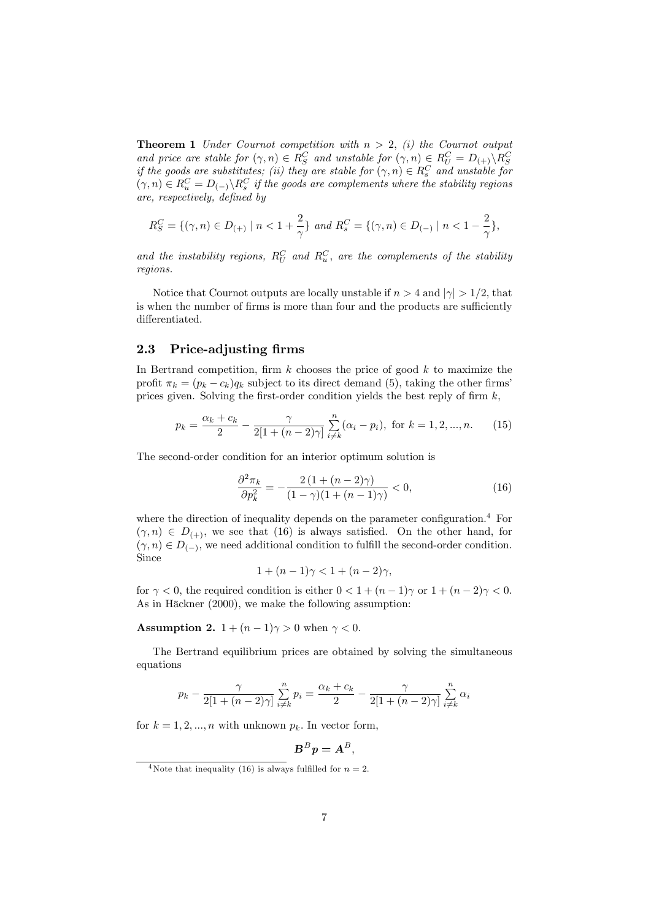**Theorem 1** Under Cournot competition with  $n > 2$ , (i) the Cournot output and price are stable for  $(\gamma, n) \in R_S^C$  and unstable for  $(\gamma, n) \in R_U^C = D_{(+)}\backslash R_S^C$ <br>if the goods are substitutes; (ii) they are stable for  $(\gamma, n) \in R_s^C$  and unstable for  $(v, n) \in R_u^C = D_{(-)} \backslash R_s^C$  if the goods are complements where the stability regions are, respectively, deÖned by

$$
R_S^C = \{ (\gamma, n) \in D_{(+)} \mid n < 1 + \frac{2}{\gamma} \} \text{ and } R_s^C = \{ (\gamma, n) \in D_{(-)} \mid n < 1 - \frac{2}{\gamma} \},
$$

and the instability regions,  $R_U^C$  and  $R_u^C$ , are the complements of the stability regions.

Notice that Cournot outputs are locally unstable if  $n > 4$  and  $|\gamma| > 1/2$ , that is when the number of firms is more than four and the products are sufficiently differentiated.

### 2.3 Price-adjusting firms

In Bertrand competition, firm  $k$  chooses the price of good  $k$  to maximize the profit  $\pi_k = (p_k - c_k)q_k$  subject to its direct demand (5), taking the other firms prices given. Solving the first-order condition yields the best reply of firm  $k$ ,

$$
p_k = \frac{\alpha_k + c_k}{2} - \frac{\gamma}{2[1 + (n-2)\gamma]} \sum_{i \neq k}^{n} (\alpha_i - p_i), \text{ for } k = 1, 2, ..., n. \tag{15}
$$

The second-order condition for an interior optimum solution is

$$
\frac{\partial^2 \pi_k}{\partial p_k^2} = -\frac{2\left(1 + (n-2)\gamma\right)}{(1-\gamma)\left(1 + (n-1)\gamma\right)} < 0,\tag{16}
$$

where the direction of inequality depends on the parameter configuration.<sup>4</sup> For  $(\gamma, n) \in D_{(+)}$ , we see that (16) is always satisfied. On the other hand, for  $(\gamma, n) \in D_{(-)}$ , we need additional condition to fulfill the second-order condition. Since

$$
1 + (n - 1)\gamma < 1 + (n - 2)\gamma
$$

for  $\gamma < 0$ , the required condition is either  $0 < 1 + (n-1)\gamma$  or  $1 + (n-2)\gamma < 0$ . As in Häckner  $(2000)$ , we make the following assumption:

Assumption 2.  $1 + (n-1)\gamma > 0$  when  $\gamma < 0$ .

The Bertrand equilibrium prices are obtained by solving the simultaneous equations

$$
p_k - \frac{\gamma}{2[1 + (n-2)\gamma]} \sum_{i \neq k}^{n} p_i = \frac{\alpha_k + c_k}{2} - \frac{\gamma}{2[1 + (n-2)\gamma]} \sum_{i \neq k}^{n} \alpha_i
$$

for  $k = 1, 2, ..., n$  with unknown  $p_k$ . In vector form,

$$
\boldsymbol{B}^B\boldsymbol{p}=\boldsymbol{A}^B,
$$

<sup>&</sup>lt;sup>4</sup>Note that inequality (16) is always fulfilled for  $n = 2$ .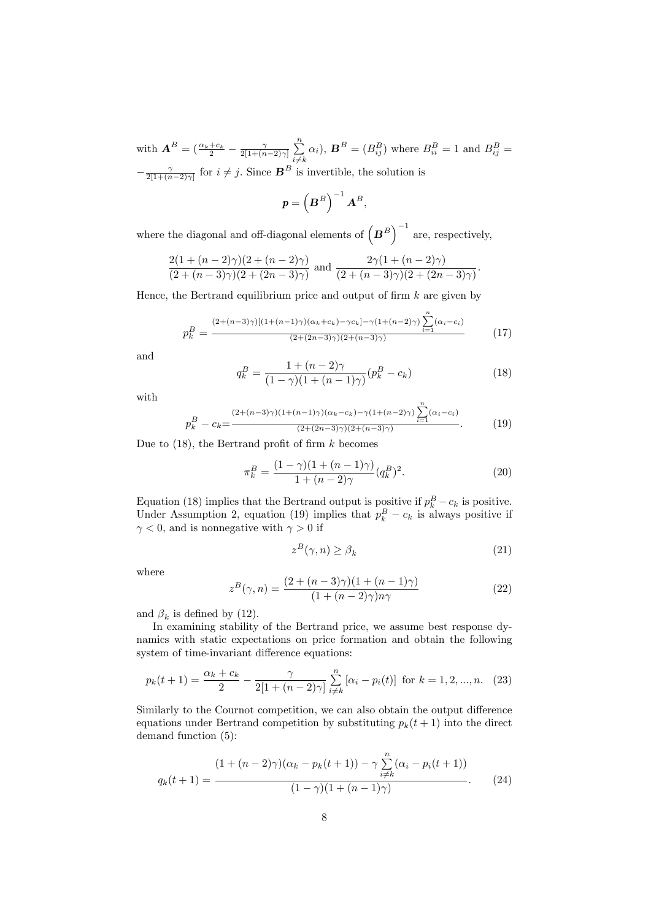with  $\mathbf{A}^B = \left( \frac{\alpha_k + c_k}{2} - \frac{\gamma}{2[1 + (n-2)\gamma]} \sum_{i=1}^n \right)$  $i \neq k$  $\alpha_i$ ,  $\mathbf{B}^B = (B_{ij}^B)$  where  $B_{ii}^B = 1$  and  $B_{ij}^B =$  $-\frac{\gamma}{2[1+(n-2)\gamma]}$  for  $i \neq j$ . Since  $\mathbf{B}^B$  is invertible, the solution is

$$
\boldsymbol{p} = \left(\boldsymbol{B}^B\right)^{-1}\boldsymbol{A}^B,
$$

where the diagonal and off-diagonal elements of  $(B^B)^{-1}$  are, respectively,

$$
\frac{2(1 + (n-2)\gamma)(2 + (n-2)\gamma)}{(2 + (n-3)\gamma)(2 + (2n-3)\gamma)}
$$
 and 
$$
\frac{2\gamma(1 + (n-2)\gamma)}{(2 + (n-3)\gamma)(2 + (2n-3)\gamma)}
$$
.

Hence, the Bertrand equilibrium price and output of firm  $k$  are given by

$$
p_k^B = \frac{(2 + (n-3)\gamma)[(1 + (n-1)\gamma)(\alpha_k + c_k) - \gamma c_k] - \gamma(1 + (n-2)\gamma)\sum_{i=1}^n (\alpha_i - c_i)}{(2 + (2n-3)\gamma)(2 + (n-3)\gamma)}
$$
(17)

and

$$
q_k^B = \frac{1 + (n-2)\gamma}{(1-\gamma)(1 + (n-1)\gamma)} (p_k^B - c_k)
$$
 (18)

with

$$
p_k^B - c_k = \frac{(2 + (n-3)\gamma)(1 + (n-1)\gamma)(\alpha_k - c_k) - \gamma(1 + (n-2)\gamma)\sum_{i=1}^n (\alpha_i - c_i)}{(2 + (2n-3)\gamma)(2 + (n-3)\gamma)}.
$$
 (19)

Due to  $(18)$ , the Bertrand profit of firm k becomes

$$
\pi_k^B = \frac{(1 - \gamma)(1 + (n - 1)\gamma)}{1 + (n - 2)\gamma} (q_k^B)^2.
$$
\n(20)

Equation (18) implies that the Bertrand output is positive if  $p_k^B - c_k$  is positive. Under Assumption 2, equation (19) implies that  $p_k^B - c_k$  is always positive if  $\gamma$  < 0, and is nonnegative with  $\gamma > 0$  if

$$
z^B(\gamma, n) \ge \beta_k \tag{21}
$$

where

$$
z^{B}(\gamma, n) = \frac{(2 + (n-3)\gamma)(1 + (n-1)\gamma)}{(1 + (n-2)\gamma)n\gamma}
$$
\n(22)

and  $\beta_k$  is defined by (12).

In examining stability of the Bertrand price, we assume best response dynamics with static expectations on price formation and obtain the following system of time-invariant difference equations:

$$
p_k(t+1) = \frac{\alpha_k + c_k}{2} - \frac{\gamma}{2[1 + (n-2)\gamma]} \sum_{i \neq k}^{n} [\alpha_i - p_i(t)] \text{ for } k = 1, 2, ..., n. \quad (23)
$$

Similarly to the Cournot competition, we can also obtain the output difference equations under Bertrand competition by substituting  $p_k(t+1)$  into the direct demand function (5):

$$
q_k(t+1) = \frac{(1 + (n-2)\gamma)(\alpha_k - p_k(t+1)) - \gamma \sum_{i \neq k}^n (\alpha_i - p_i(t+1))}{(1 - \gamma)(1 + (n-1)\gamma)}.
$$
 (24)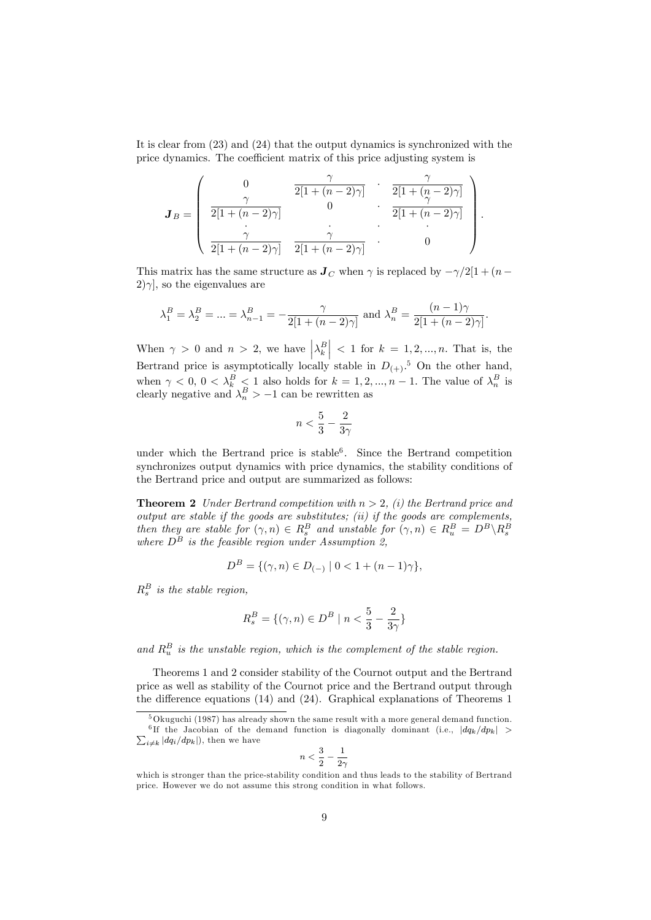It is clear from (23) and (24) that the output dynamics is synchronized with the price dynamics. The coefficient matrix of this price adjusting system is

$$
\boldsymbol{J}_B = \left( \begin{array}{ccc} 0 & \gamma & \gamma \\ \frac{\gamma}{2[1 + (n-2)\gamma]} & 0 & \frac{\gamma}{2[1 + (n-2)\gamma]} \\ \frac{\gamma}{2[1 + (n-2)\gamma]} & 0 & \frac{\gamma}{2[1 + (n-2)\gamma]} \\ \frac{\gamma}{2[1 + (n-2)\gamma]} & \frac{\gamma}{2[1 + (n-2)\gamma]} & \cdot & 0 \end{array} \right).
$$

This matrix has the same structure as  $J_C$  when  $\gamma$  is replaced by  $-\gamma/2[1 + (n 2|\gamma|$ , so the eigenvalues are

$$
\lambda_1^B = \lambda_2^B = \dots = \lambda_{n-1}^B = -\frac{\gamma}{2[1 + (n-2)\gamma]}
$$
 and  $\lambda_n^B = \frac{(n-1)\gamma}{2[1 + (n-2)\gamma]}$ .

When  $\gamma > 0$  and  $n > 2$ , we have  $\left|\lambda_k^B\right| < 1$  for  $k = 1, 2, ..., n$ . That is, the Bertrand price is asymptotically locally stable in  $D_{(+)}$ .<sup>5</sup> On the other hand, when  $\gamma < 0, 0 < \lambda_k^B < 1$  also holds for  $k = 1, 2, ..., n - 1$ . The value of  $\lambda_n^B$  is clearly negative and  $\lambda_n^B > -1$  can be rewritten as

$$
n < \frac{5}{3} - \frac{2}{3\gamma}
$$

under which the Bertrand price is stable<sup>6</sup>. Since the Bertrand competition synchronizes output dynamics with price dynamics, the stability conditions of the Bertrand price and output are summarized as follows:

**Theorem 2** Under Bertrand competition with  $n > 2$ , (i) the Bertrand price and  $output$  are stable if the goods are substitutes;  $(ii)$  if the goods are complements, then they are stable for  $(\gamma, n) \in R_s^B$  and unstable for  $(\gamma, n) \in R_u^B = D^B \backslash R_s^B$ <br>where  $D^B$  is the feasible region under Assumption 2,

$$
D^{B} = \{ (\gamma, n) \in D_{(-)} \mid 0 < 1 + (n - 1)\gamma \},\
$$

 $R_s^B$  is the stable region,

$$
R_s^B = \{ (\gamma, n) \in D^B \mid n < \frac{5}{3} - \frac{2}{3\gamma} \}
$$

and  $R_u^B$  is the unstable region, which is the complement of the stable region.

Theorems 1 and 2 consider stability of the Cournot output and the Bertrand price as well as stability of the Cournot price and the Bertrand output through the difference equations  $(14)$  and  $(24)$ . Graphical explanations of Theorems 1

$$
\iota<\frac{3}{2}-\frac{1}{2\gamma}
$$

 $\mathcal{L}$ 

 $5$ Okuguchi (1987) has already shown the same result with a more general demand function. <sup>6</sup>If the Jacobian of the demand function is diagonally dominant (i.e.,  $|dq_k/dp_k|$  >  $\sum_{i \neq k} |dq_i/dp_k|$ , then we have

which is stronger than the price-stability condition and thus leads to the stability of Bertrand price. However we do not assume this strong condition in what follows.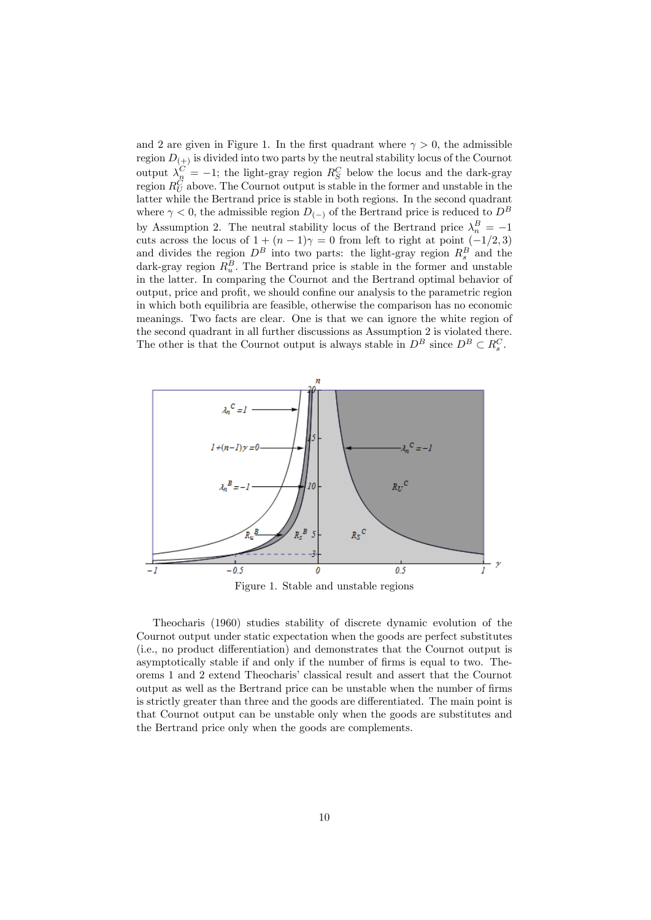and 2 are given in Figure 1. In the first quadrant where  $\gamma > 0$ , the admissible region  $D_{(+)}$  is divided into two parts by the neutral stability locus of the Cournot output  $\lambda_{n}^{C} = -1$ ; the light-gray region  $R_{S}^{C}$  below the locus and the dark-gray region  $R_U^C$  above. The Cournot output is stable in the former and unstable in the latter while the Bertrand price is stable in both regions. In the second quadrant where  $\gamma < 0$ , the admissible region  $D_{(-)}$  of the Bertrand price is reduced to  $D^B$ by Assumption 2. The neutral stability locus of the Bertrand price  $\lambda_n^B = -1$ cuts across the locus of  $1 + (n-1)\gamma = 0$  from left to right at point  $(-1/2, 3)$ and divides the region  $D^B$  into two parts: the light-gray region  $R_s^B$  and the dark-gray region  $R_u^B$ . The Bertrand price is stable in the former and unstable in the latter. In comparing the Cournot and the Bertrand optimal behavior of output, price and profit, we should confine our analysis to the parametric region in which both equilibria are feasible, otherwise the comparison has no economic meanings. Two facts are clear. One is that we can ignore the white region of the second quadrant in all further discussions as Assumption 2 is violated there. The other is that the Cournot output is always stable in  $D^B$  since  $D^B \subset R_s^C$ .



Figure 1. Stable and unstable regions

Theocharis (1960) studies stability of discrete dynamic evolution of the Cournot output under static expectation when the goods are perfect substitutes (i.e., no product differentiation) and demonstrates that the Cournot output is asymptotically stable if and only if the number of firms is equal to two. Theorems 1 and 2 extend Theocharis' classical result and assert that the Cournot output as well as the Bertrand price can be unstable when the number of Örms is strictly greater than three and the goods are differentiated. The main point is that Cournot output can be unstable only when the goods are substitutes and the Bertrand price only when the goods are complements.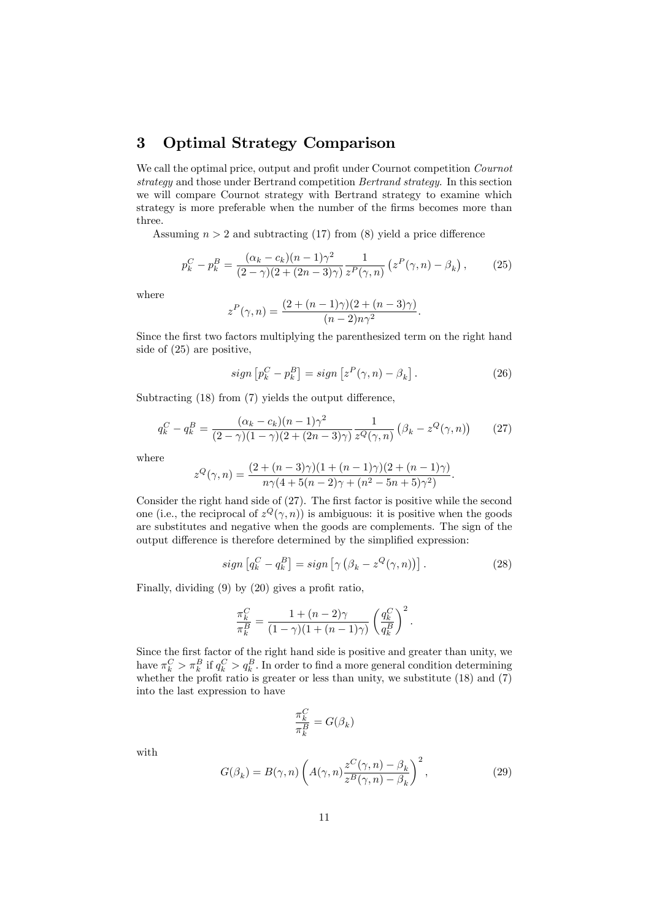# 3 Optimal Strategy Comparison

We call the optimal price, output and profit under Cournot competition *Cournot* strategy and those under Bertrand competition Bertrand strategy. In this section we will compare Cournot strategy with Bertrand strategy to examine which strategy is more preferable when the number of the firms becomes more than three.

Assuming  $n > 2$  and subtracting (17) from (8) yield a price difference

$$
p_k^C - p_k^B = \frac{(\alpha_k - c_k)(n-1)\gamma^2}{(2-\gamma)(2 + (2n-3)\gamma)} \frac{1}{z^P(\gamma, n)} \left( z^P(\gamma, n) - \beta_k \right),\tag{25}
$$

where

$$
z^{P}(\gamma, n) = \frac{(2 + (n-1)\gamma)(2 + (n-3)\gamma)}{(n-2)n\gamma^{2}}.
$$

Since the first two factors multiplying the parenthesized term on the right hand side of (25) are positive,

$$
sign\left[p_k^C - p_k^B\right] = sign\left[z^P(\gamma, n) - \beta_k\right].\tag{26}
$$

Subtracting  $(18)$  from  $(7)$  yields the output difference,

$$
q_k^C - q_k^B = \frac{(\alpha_k - c_k)(n-1)\gamma^2}{(2-\gamma)(1-\gamma)(2+(2n-3)\gamma)} \frac{1}{z^Q(\gamma,n)} (\beta_k - z^Q(\gamma,n)) \tag{27}
$$

where

$$
z^{Q}(\gamma, n) = \frac{(2 + (n-3)\gamma)(1 + (n-1)\gamma)(2 + (n-1)\gamma)}{n\gamma(4 + 5(n-2)\gamma + (n^2 - 5n + 5)\gamma^2)}.
$$

Consider the right hand side of  $(27)$ . The first factor is positive while the second one (i.e., the reciprocal of  $z^Q(\gamma, n)$ ) is ambiguous: it is positive when the goods are substitutes and negative when the goods are complements. The sign of the output difference is therefore determined by the simplified expression:

$$
sign\left[q_k^C - q_k^B\right] = sign\left[\gamma\left(\beta_k - z^Q(\gamma, n)\right)\right].\tag{28}
$$

Finally, dividing  $(9)$  by  $(20)$  gives a profit ratio,

$$
\frac{\pi_k^C}{\pi_k^B} = \frac{1 + (n-2)\gamma}{(1-\gamma)(1 + (n-1)\gamma)} \left(\frac{q_k^C}{q_k^B}\right)^2.
$$

Since the first factor of the right hand side is positive and greater than unity, we have  $\pi_k^C > \pi_k^B$  if  $q_k^C > q_k^B$ . In order to find a more general condition determining whether the profit ratio is greater or less than unity, we substitute  $(18)$  and  $(7)$ into the last expression to have

$$
\frac{\pi^C_k}{\pi^B_k} = G(\beta_k)
$$

with

$$
G(\beta_k) = B(\gamma, n) \left( A(\gamma, n) \frac{z^C(\gamma, n) - \beta_k}{z^B(\gamma, n) - \beta_k} \right)^2, \tag{29}
$$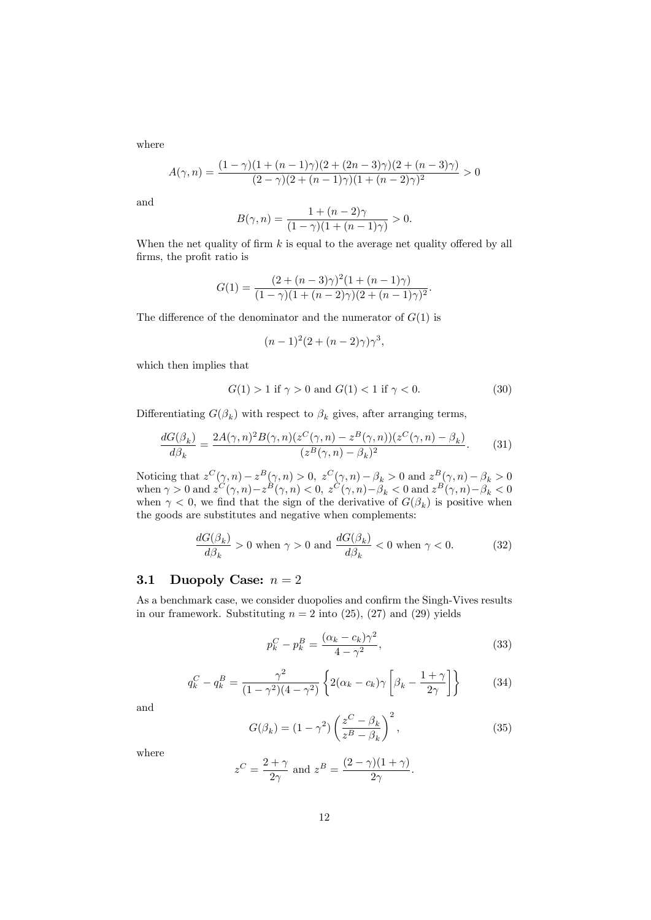where

$$
A(\gamma, n) = \frac{(1 - \gamma)(1 + (n - 1)\gamma)(2 + (2n - 3)\gamma)(2 + (n - 3)\gamma)}{(2 - \gamma)(2 + (n - 1)\gamma)(1 + (n - 2)\gamma)^2} > 0
$$

and

$$
B(\gamma, n) = \frac{1 + (n - 2)\gamma}{(1 - \gamma)(1 + (n - 1)\gamma)} > 0.
$$

When the net quality of firm  $k$  is equal to the average net quality offered by all firms, the profit ratio is

$$
G(1) = \frac{(2 + (n-3)\gamma)^2 (1 + (n-1)\gamma)}{(1-\gamma)(1 + (n-2)\gamma)(2 + (n-1)\gamma)^2}.
$$

The difference of the denominator and the numerator of  $G(1)$  is

$$
(n-1)^{2}(2 + (n-2)\gamma)\gamma^{3},
$$

which then implies that

$$
G(1) > 1 \text{ if } \gamma > 0 \text{ and } G(1) < 1 \text{ if } \gamma < 0. \tag{30}
$$

Differentiating  $G(\beta_k)$  with respect to  $\beta_k$  gives, after arranging terms,

$$
\frac{dG(\beta_k)}{d\beta_k} = \frac{2A(\gamma, n)^2 B(\gamma, n) (z^C(\gamma, n) - z^B(\gamma, n)) (z^C(\gamma, n) - \beta_k)}{(z^B(\gamma, n) - \beta_k)^2}.
$$
(31)

Noticing that  $z^C(\gamma, n) - z^B(\gamma, n) > 0$ ,  $z^C(\gamma, n) - \beta_k > 0$  and  $z^B(\gamma, n) - \beta_k > 0$ when  $\gamma > 0$  and  $z^C(\gamma, n) - z^B(\gamma, n) < 0$ ,  $z^C(\gamma, n) - \beta_k < 0$  and  $z^B(\gamma, n) - \beta_k < 0$ when  $\gamma < 0$ , we find that the sign of the derivative of  $G(\beta_k)$  is positive when the goods are substitutes and negative when complements:

$$
\frac{dG(\beta_k)}{d\beta_k} > 0 \text{ when } \gamma > 0 \text{ and } \frac{dG(\beta_k)}{d\beta_k} < 0 \text{ when } \gamma < 0.
$$
 (32)

### 3.1 Duopoly Case:  $n = 2$

As a benchmark case, we consider duopolies and confirm the Singh-Vives results in our framework. Substituting  $n = 2$  into  $(25)$ ,  $(27)$  and  $(29)$  yields

$$
p_k^C - p_k^B = \frac{(\alpha_k - c_k)\gamma^2}{4 - \gamma^2},\tag{33}
$$

$$
q_k^C - q_k^B = \frac{\gamma^2}{(1 - \gamma^2)(4 - \gamma^2)} \left\{ 2(\alpha_k - c_k)\gamma \left[ \beta_k - \frac{1 + \gamma}{2\gamma} \right] \right\} \tag{34}
$$

and

$$
G(\beta_k) = (1 - \gamma^2) \left( \frac{z^C - \beta_k}{z^B - \beta_k} \right)^2, \tag{35}
$$

where

$$
z^C = \frac{2+\gamma}{2\gamma} \text{ and } z^B = \frac{(2-\gamma)(1+\gamma)}{2\gamma}.
$$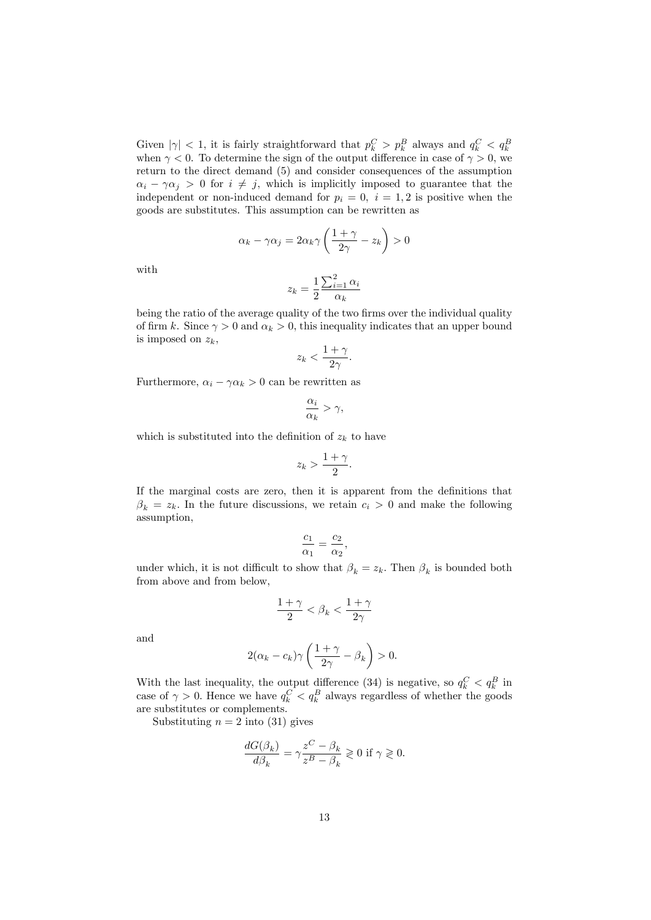Given  $|\gamma| < 1$ , it is fairly straightforward that  $p_k^C > p_k^B$  always and  $q_k^C < q_k^B$ when  $\gamma < 0$ . To determine the sign of the output difference in case of  $\gamma > 0$ , we return to the direct demand (5) and consider consequences of the assumption  $\alpha_i - \gamma \alpha_j > 0$  for  $i \neq j$ , which is implicitly imposed to guarantee that the independent or non-induced demand for  $p_i = 0$ ,  $i = 1, 2$  is positive when the goods are substitutes. This assumption can be rewritten as

$$
\alpha_k - \gamma \alpha_j = 2\alpha_k \gamma \left(\frac{1+\gamma}{2\gamma} - z_k\right) > 0
$$

with

$$
z_k = \frac{1}{2} \frac{\sum_{i=1}^{2} \alpha_i}{\alpha_k}
$$

being the ratio of the average quality of the two firms over the individual quality of firm k. Since  $\gamma > 0$  and  $\alpha_k > 0$ , this inequality indicates that an upper bound is imposed on  $z_k$ ,

$$
z_k < \frac{1+\gamma}{2\gamma}.
$$

Furthermore,  $\alpha_i - \gamma \alpha_k > 0$  can be rewritten as

$$
\frac{\alpha_i}{\alpha_k} > \gamma,
$$

which is substituted into the definition of  $z_k$  to have

$$
z_k > \frac{1+\gamma}{2}.
$$

If the marginal costs are zero, then it is apparent from the definitions that  $\beta_k = z_k$ . In the future discussions, we retain  $c_i > 0$  and make the following assumption,

$$
\frac{c_1}{\alpha_1} = \frac{c_2}{\alpha_2},
$$

under which, it is not difficult to show that  $\beta_k = z_k$ . Then  $\beta_k$  is bounded both from above and from below,

$$
\frac{1+\gamma}{2} < \beta_k < \frac{1+\gamma}{2\gamma}
$$

and

$$
2(\alpha_k - c_k)\gamma \left(\frac{1+\gamma}{2\gamma} - \beta_k\right) > 0.
$$

With the last inequality, the output difference (34) is negative, so  $q_k^C < q_k^B$  in case of  $\gamma > 0$ . Hence we have  $q_k^C < q_k^B$  always regardless of whether the goods are substitutes or complements.

Substituting  $n = 2$  into (31) gives

$$
\frac{dG(\beta_k)}{d\beta_k} = \gamma \frac{z^C - \beta_k}{z^B - \beta_k} \ge 0 \text{ if } \gamma \ge 0.
$$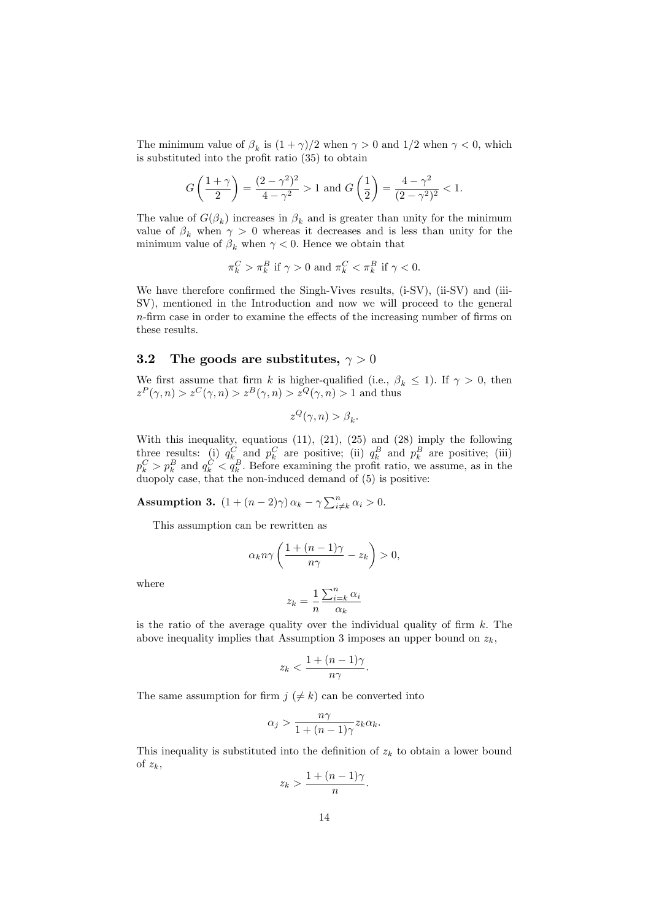The minimum value of  $\beta_k$  is  $(1 + \gamma)/2$  when  $\gamma > 0$  and  $1/2$  when  $\gamma < 0$ , which is substituted into the profit ratio  $(35)$  to obtain

$$
G\left(\frac{1+\gamma}{2}\right) = \frac{(2-\gamma^2)^2}{4-\gamma^2} > 1
$$
 and 
$$
G\left(\frac{1}{2}\right) = \frac{4-\gamma^2}{(2-\gamma^2)^2} < 1.
$$

The value of  $G(\beta_k)$  increases in  $\beta_k$  and is greater than unity for the minimum value of  $\beta_k$  when  $\gamma > 0$  whereas it decreases and is less than unity for the minimum value of  $\beta_k$  when  $\gamma < 0$ . Hence we obtain that

$$
\pi_k^C > \pi_k^B \text{ if } \gamma > 0 \text{ and } \pi_k^C < \pi_k^B \text{ if } \gamma < 0.
$$

We have therefore confirmed the Singh-Vives results,  $(i-SV)$ ,  $(ii-SV)$  and  $(iii-)$ SV), mentioned in the Introduction and now we will proceed to the general  $n$ -firm case in order to examine the effects of the increasing number of firms on these results.

#### 3.2 The goods are substitutes,  $\gamma > 0$

We first assume that firm k is higher-qualified (i.e.,  $\beta_k \leq 1$ ). If  $\gamma > 0$ , then  $z^P(\gamma, n) > z^C(\gamma, n) > z^B(\gamma, n) > z^Q(\gamma, n) > 1$  and thus

$$
z^{Q}(\gamma, n) > \beta_{k}.
$$

With this inequality, equations (11), (21), (25) and (28) imply the following three results: (i)  $q_k^C$  and  $p_k^C$  are positive; (ii)  $q_k^B$  and  $p_k^B$  are positive; (iii)  $p_k^C > p_k^B$  and  $q_k^C < q_k^B$ . Before examining the profit ratio, we assume, as in the duopoly case, that the non-induced demand of (5) is positive:

**Assumption 3.**  $(1 + (n-2)\gamma) \alpha_k - \gamma \sum_{i \neq k}^n \alpha_i > 0.$ 

This assumption can be rewritten as

$$
\alpha_k n \gamma \left( \frac{1 + (n-1)\gamma}{n\gamma} - z_k \right) > 0,
$$

where

$$
z_k = \frac{1}{n} \frac{\sum_{i=k}^{n} \alpha_i}{\alpha_k}
$$

is the ratio of the average quality over the individual quality of firm  $k$ . The above inequality implies that Assumption 3 imposes an upper bound on  $z_k$ ,

$$
z_k < \frac{1 + (n-1)\gamma}{n\gamma}.
$$

The same assumption for firm  $j \neq k$  can be converted into

$$
\alpha_j > \frac{n\gamma}{1 + (n-1)\gamma} z_k \alpha_k.
$$

This inequality is substituted into the definition of  $z_k$  to obtain a lower bound of  $z_k$ ,

$$
z_k > \frac{1 + (n-1)\gamma}{n}.
$$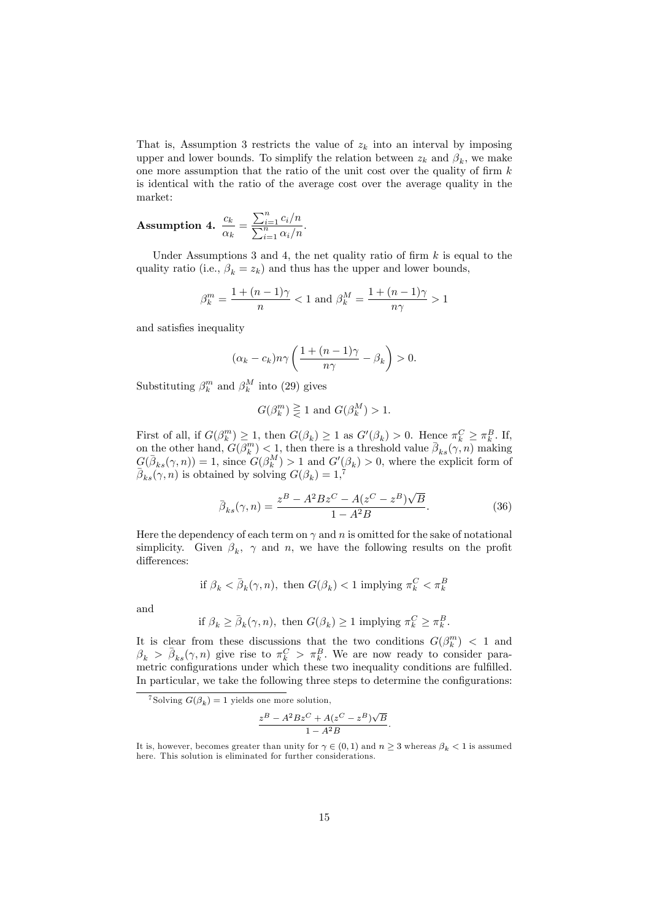That is, Assumption 3 restricts the value of  $z_k$  into an interval by imposing upper and lower bounds. To simplify the relation between  $z_k$  and  $\beta_k$ , we make one more assumption that the ratio of the unit cost over the quality of firm  $k$ is identical with the ratio of the average cost over the average quality in the market:

**Assumption 4.** 
$$
\frac{c_k}{\alpha_k} = \frac{\sum_{i=1}^n c_i/n}{\sum_{i=1}^n \alpha_i/n}.
$$

Under Assumptions 3 and 4, the net quality ratio of firm  $k$  is equal to the quality ratio (i.e.,  $\beta_k = z_k$ ) and thus has the upper and lower bounds,

$$
\beta_k^m = \frac{1 + (n-1)\gamma}{n} < 1 \text{ and } \beta_k^M = \frac{1 + (n-1)\gamma}{n\gamma} > 1
$$

and satisfies inequality

$$
(\alpha_k - c_k)n\gamma \left(\frac{1 + (n-1)\gamma}{n\gamma} - \beta_k\right) > 0.
$$

Substituting  $\beta_k^m$  and  $\beta_k^M$  into (29) gives

$$
G(\beta_k^m) \geq 1
$$
 and  $G(\beta_k^M) > 1$ .

First of all, if  $G(\beta_k^m) \geq 1$ , then  $G(\beta_k) \geq 1$  as  $G'(\beta_k) > 0$ . Hence  $\pi_k^C \geq \pi_k^B$ . If, on the other hand,  $G(\beta_k^m) < 1$ , then there is a threshold value  $\bar{\beta}_{ks}(\gamma, n)$  making  $G(\bar{\beta}_{ks}(\gamma,n)) = 1$ , since  $G(\beta_k^M) > 1$  and  $G'(\beta_k) > 0$ , where the explicit form of  $\bar{\beta}_{ks}(\gamma, n)$  is obtained by solving  $G(\beta_k) = 1$ ,

$$
\bar{\beta}_{ks}(\gamma, n) = \frac{z^B - A^2 B z^C - A(z^C - z^B) \sqrt{B}}{1 - A^2 B}.
$$
\n(36)

Here the dependency of each term on  $\gamma$  and n is omitted for the sake of notational simplicity. Given  $\beta_k$ ,  $\gamma$  and n, we have the following results on the profit differences:

if 
$$
\beta_k < \bar{\beta}_k(\gamma, n)
$$
, then  $G(\beta_k) < 1$  implying  $\pi_k^C < \pi_k^B$ .

and

if 
$$
\beta_k \ge \bar{\beta}_k(\gamma, n)
$$
, then  $G(\beta_k) \ge 1$  implying  $\pi_k^C \ge \pi_k^B$ .

It is clear from these discussions that the two conditions  $G(\beta_k^m) < 1$  and  $\beta_k > \bar{\beta}_{ks}(\gamma, n)$  give rise to  $\pi_k^C > \pi_k^B$ . We are now ready to consider parametric configurations under which these two inequality conditions are fulfilled. In particular, we take the following three steps to determine the configurations:

$$
\frac{z^B - A^2 B z^C + A(z^C - z^B) \sqrt{B}}{1 - A^2 B}.
$$

<sup>&</sup>lt;sup>7</sup>Solving  $G(\beta_k) = 1$  yields one more solution,

It is, however, becomes greater than unity for  $\gamma \in (0,1)$  and  $n \geq 3$  whereas  $\beta_k < 1$  is assumed here. This solution is eliminated for further considerations.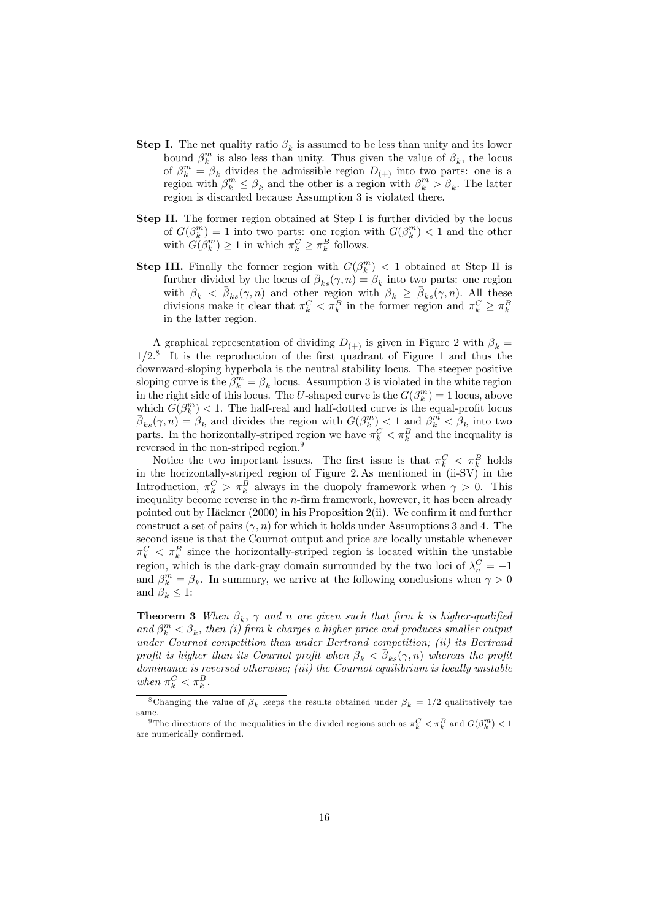- **Step I.** The net quality ratio  $\beta_k$  is assumed to be less than unity and its lower bound  $\beta_k^m$  is also less than unity. Thus given the value of  $\beta_k$ , the locus of  $\beta_k^m = \beta_k$  divides the admissible region  $D_{(+)}$  into two parts: one is a region with  $\beta_k^m \leq \beta_k$  and the other is a region with  $\beta_k^m > \beta_k$ . The latter region is discarded because Assumption 3 is violated there.
- Step II. The former region obtained at Step I is further divided by the locus of  $G(\beta_k^m) = 1$  into two parts: one region with  $G(\beta_k^m) < 1$  and the other with  $G(\beta_k^m) \ge 1$  in which  $\pi_k^C \ge \pi_k^B$  follows.
- **Step III.** Finally the former region with  $G(\beta_k^m) < 1$  obtained at Step II is further divided by the locus of  $\bar{\beta}_{ks}(\gamma, n) = \beta_k$  into two parts: one region with  $\beta_k < \bar{\beta}_{ks}(\gamma, n)$  and other region with  $\beta_k \geq \bar{\beta}_{ks}(\gamma, n)$ . All these divisions make it clear that  $\pi_k^C < \pi_k^B$  in the former region and  $\pi_k^C \geq \pi_k^B$ in the latter region.

A graphical representation of dividing  $D_{(+)}$  is given in Figure 2 with  $\beta_k =$  $1/2$ <sup>8</sup> It is the reproduction of the first quadrant of Figure 1 and thus the downward-sloping hyperbola is the neutral stability locus. The steeper positive sloping curve is the  $\beta_k^m = \beta_k$  locus. Assumption 3 is violated in the white region in the right side of this locus. The U-shaped curve is the  $G(\beta_k^m) = 1$  locus, above which  $G(\beta_k^m) < 1$ . The half-real and half-dotted curve is the equal-profit locus  $\bar{\beta}_{ks}(\gamma, n) = \beta_k$  and divides the region with  $G(\beta_k^m) < 1$  and  $\beta_k^m < \beta_k$  into two parts. In the horizontally-striped region we have  $\pi_k^C < \pi_k^B$  and the inequality is reversed in the non-striped region.<sup>9</sup>

Notice the two important issues. The first issue is that  $\pi_k^C < \pi_k^B$  holds in the horizontally-striped region of Figure 2. As mentioned in (ii-SV) in the Introduction,  $\pi_k^C > \pi_k^B$  always in the duopoly framework when  $\gamma > 0$ . This inequality become reverse in the  $n$ -firm framework, however, it has been already pointed out by Häckner  $(2000)$  in his Proposition  $2(ii)$ . We confirm it and further construct a set of pairs  $(\gamma, n)$  for which it holds under Assumptions 3 and 4. The second issue is that the Cournot output and price are locally unstable whenever  $\pi_k^C < \pi_k^B$  since the horizontally-striped region is located within the unstable region, which is the dark-gray domain surrounded by the two loci of  $\lambda_n^C = -1$ and  $\beta_k^m = \beta_k$ . In summary, we arrive at the following conclusions when  $\gamma > 0$ and  $\beta_k \leq 1$ :

**Theorem 3** When  $\beta_k$ ,  $\gamma$  and n are given such that firm k is higher-qualified and  $\beta_k^m < \beta_k$ , then (i) firm k charges a higher price and produces smaller output under Cournot competition than under Bertrand competition; (ii) its Bertrand profit is higher than its Cournot profit when  $\beta_k < \bar{\beta}_{ks}(\gamma, n)$  whereas the profit dominance is reversed otherwise; (iii) the Cournot equilibrium is locally unstable when  $\pi_k^C < \pi_k^B$ .

<sup>&</sup>lt;sup>8</sup>Changing the value of  $\beta_k$  keeps the results obtained under  $\beta_k = 1/2$  qualitatively the same.

<sup>&</sup>lt;sup>9</sup>The directions of the inequalities in the divided regions such as  $\pi_k^C < \pi_k^B$  and  $G(\beta_k^m) < 1$ are numerically confirmed.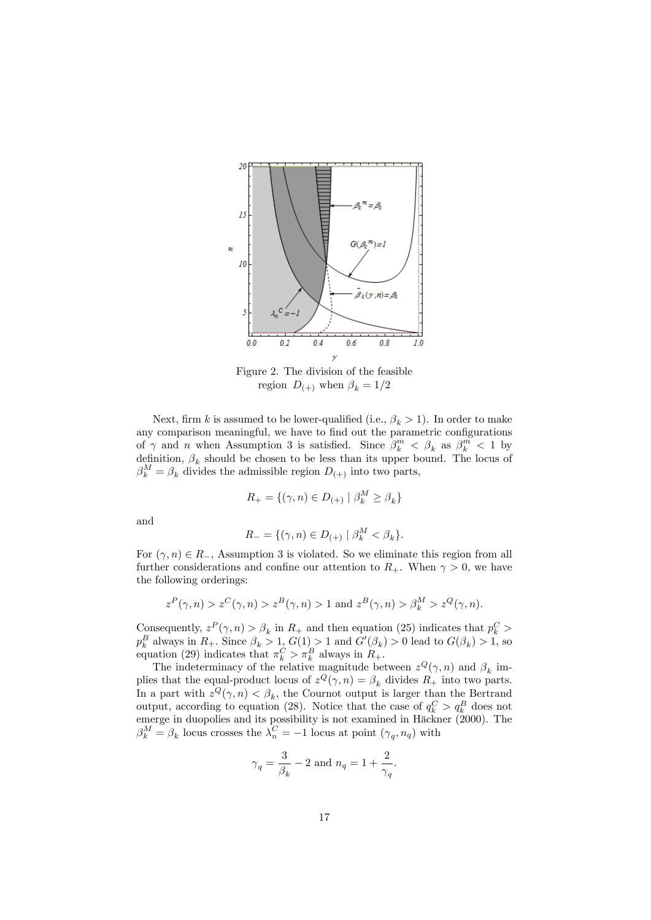

Figure 2. The division of the feasible region  $D_{(+)}$  when  $\beta_k = 1/2$ 

Next, firm k is assumed to be lower-qualified (i.e.,  $\beta_k > 1$ ). In order to make any comparison meaningful, we have to find out the parametric configurations of  $\gamma$  and n when Assumption 3 is satisfied. Since  $\beta_k^m < \beta_k$  as  $\beta_k^m < 1$  by definition,  $\beta_k$  should be chosen to be less than its upper bound. The locus of  $\beta_k^M = \beta_k$  divides the admissible region  $D_{(+)}$  into two parts,

$$
R_+ = \{ (\gamma, n) \in D_{(+)} \mid \beta^M_k \ge \beta_k \}
$$

and

$$
R_{-} = \{ (\gamma, n) \in D_{(+)} \mid \beta_k^M < \beta_k \}.
$$

For  $(\gamma, n) \in R_$ , Assumption 3 is violated. So we eliminate this region from all further considerations and confine our attention to  $R_+$ . When  $\gamma > 0$ , we have the following orderings:

$$
zP(\gamma, n) > zC(\gamma, n) > zB(\gamma, n) > 1 \text{ and } zB(\gamma, n) > \beta_k^M > zQ(\gamma, n).
$$

Consequently,  $z^P(\gamma, n) > \beta_k$  in  $R_+$  and then equation (25) indicates that  $p_k^C$  $p_k^B$  always in  $R_+$ . Since  $\beta_k > 1$ ,  $G(1) > 1$  and  $G'(\beta_k) > 0$  lead to  $G(\beta_k) > 1$ , so equation (29) indicates that  $\pi_k^C > \pi_k^B$  always in  $R_+$ .

The indeterminacy of the relative magnitude between  $z^{Q}(\gamma, n)$  and  $\beta_{k}$  implies that the equal-product locus of  $z^Q(\gamma, n) = \beta_k$  divides  $R_+$  into two parts. In a part with  $z^Q(\gamma, n) < \beta_k$ , the Cournot output is larger than the Bertrand output, according to equation (28). Notice that the case of  $q_k^C > q_k^B$  does not emerge in duopolies and its possibility is not examined in Häckner (2000). The  $\beta_k^M = \beta_k$  locus crosses the  $\lambda_n^C = -1$  locus at point  $(\gamma_q, n_q)$  with

$$
\gamma_q = \frac{3}{\beta_k} - 2 \text{ and } n_q = 1 + \frac{2}{\gamma_q}.
$$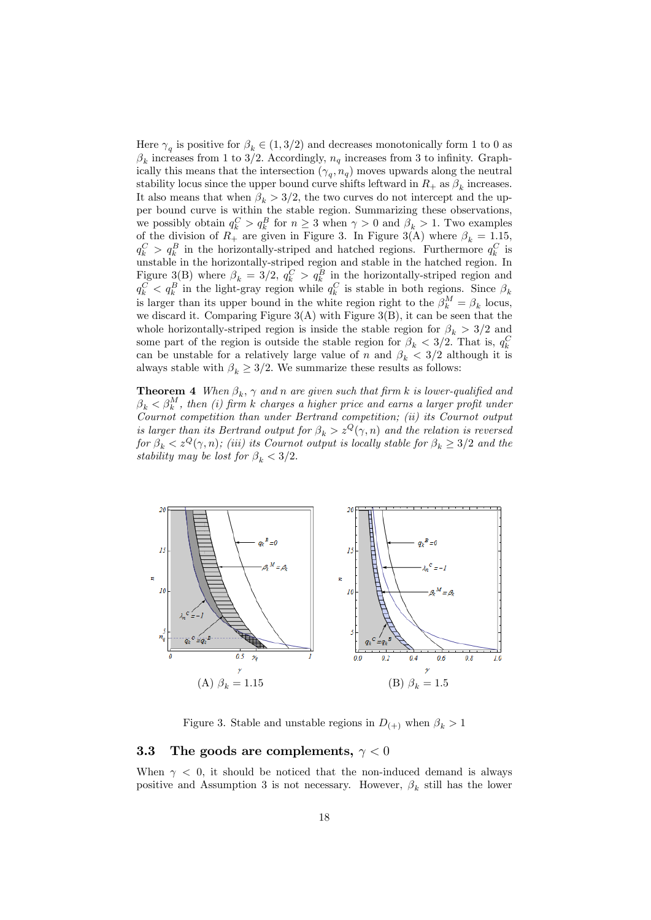Here  $\gamma_q$  is positive for  $\beta_k \in (1, 3/2)$  and decreases monotonically form 1 to 0 as  $\beta_k$  increases from 1 to 3/2. Accordingly,  $n_q$  increases from 3 to infinity. Graphically this means that the intersection  $(\gamma_q, n_q)$  moves upwards along the neutral stability locus since the upper bound curve shifts leftward in  $R_+$  as  $\beta_k$  increases. It also means that when  $\beta_k > 3/2$ , the two curves do not intercept and the upper bound curve is within the stable region: Summarizing these observations, we possibly obtain  $q_k^C > q_k^B$  for  $n \geq 3$  when  $\gamma > 0$  and  $\beta_k > 1$ . Two examples of the division of  $R_+$  are given in Figure 3. In Figure 3(A) where  $\beta_k = 1.15$ ,  $q_k^C > q_k^B$  in the horizontally-striped and hatched regions. Furthermore  $q_k^C$  is unstable in the horizontally-striped region and stable in the hatched region. In Figure 3(B) where  $\beta_k = 3/2$ ,  $q_k^C > q_k^B$  in the horizontally-striped region and  $q_k^C$   $\langle q_k^B \rangle$  in the light-gray region while  $q_k^C$  is stable in both regions. Since  $\beta_k$ is larger than its upper bound in the white region right to the  $\beta_k^M = \beta_k$  locus, we discard it. Comparing Figure  $3(A)$  with Figure  $3(B)$ , it can be seen that the whole horizontally-striped region is inside the stable region for  $\beta_k > 3/2$  and some part of the region is outside the stable region for  $\beta_k < 3/2$ . That is,  $q_k^C$ can be unstable for a relatively large value of n and  $\beta_k < 3/2$  although it is always stable with  $\beta_k \geq 3/2$ . We summarize these results as follows:

**Theorem 4** When  $\beta_k$ ,  $\gamma$  and n are given such that firm k is lower-qualified and  $\beta_k < \beta_k^M$ , then (i) firm k charges a higher price and earns a larger profit under Cournot competition than under Bertrand competition; (ii) its Cournot output is larger than its Bertrand output for  $\beta_k > z^Q(\gamma, n)$  and the relation is reversed for  $\beta_k < z^Q(\gamma, n)$ ; (iii) its Cournot output is locally stable for  $\beta_k \geq 3/2$  and the stability may be lost for  $\beta_k < 3/2$ .



Figure 3. Stable and unstable regions in  $D_{(+)}$  when  $\beta_k > 1$ 

### **3.3** The goods are complements,  $\gamma < 0$

When  $\gamma$  < 0, it should be noticed that the non-induced demand is always positive and Assumption 3 is not necessary. However,  $\beta_k$  still has the lower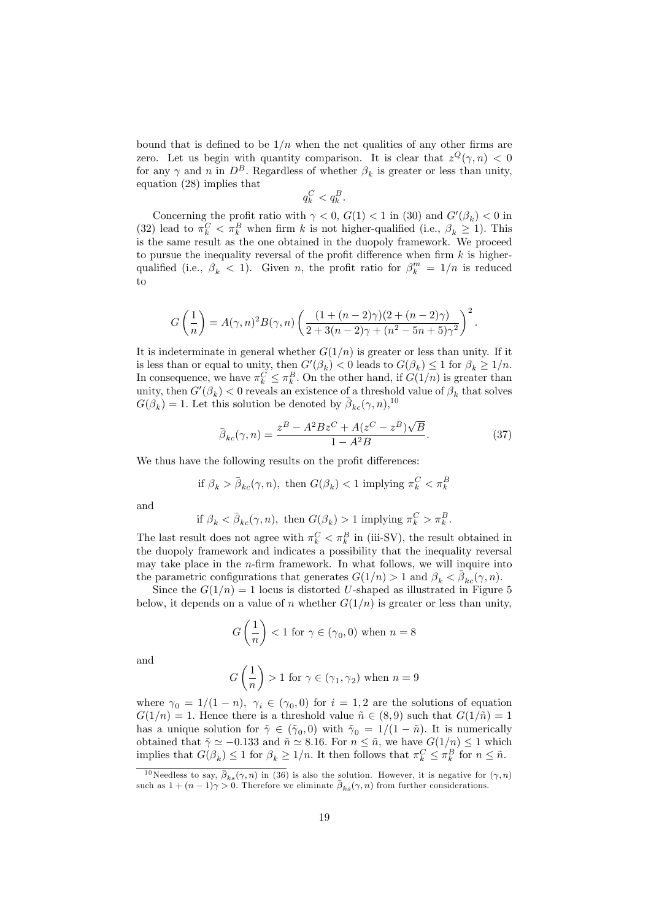bound that is defined to be  $1/n$  when the net qualities of any other firms are zero. Let us begin with quantity comparison. It is clear that  $z^{Q}(\gamma, n) < 0$ for any  $\gamma$  and n in  $D^B$ . Regardless of whether  $\beta_k$  is greater or less than unity, equation (28) implies that

$$
q_k^C < q_k^B.
$$

Concerning the profit ratio with  $\gamma < 0$ ,  $G(1) < 1$  in (30) and  $G'(\beta_k) < 0$  in (32) lead to  $\pi_k^C < \pi_k^B$  when firm k is not higher-qualified (i.e.,  $\beta_k \geq 1$ ). This is the same result as the one obtained in the duopoly framework. We proceed to pursue the inequality reversal of the profit difference when firm  $k$  is higherqualified (i.e.,  $\beta_k < 1$ ). Given *n*, the profit ratio for  $\beta_k^m = 1/n$  is reduced to

$$
G\left(\frac{1}{n}\right) = A(\gamma, n)^2 B(\gamma, n) \left(\frac{(1 + (n-2)\gamma)(2 + (n-2)\gamma)}{2 + 3(n-2)\gamma + (n^2 - 5n + 5)\gamma^2}\right)^2.
$$

It is indeterminate in general whether  $G(1/n)$  is greater or less than unity. If it is less than or equal to unity, then  $G'(\beta_k) < 0$  leads to  $G(\beta_k) \leq 1$  for  $\beta_k \geq 1/n$ . In consequence, we have  $\pi_k^C \leq \pi_k^B$ . On the other hand, if  $G(1/n)$  is greater than unity, then  $G'(\beta_k) < 0$  reveals an existence of a threshold value of  $\beta_k$  that solves  $G(\beta_k) = 1$ . Let this solution be denoted by  $\bar{\beta}_{kc}(\gamma, n)$ ,<sup>10</sup>

$$
\bar{\beta}_{kc}(\gamma, n) = \frac{z^B - A^2 B z^C + A(z^C - z^B) \sqrt{B}}{1 - A^2 B}.
$$
\n(37)

We thus have the following results on the profit differences:

if 
$$
\beta_k > \bar{\beta}_{kc}(\gamma, n)
$$
, then  $G(\beta_k) < 1$  implying  $\pi_k^C < \pi_k^B$ 

and

if 
$$
\beta_k < \bar{\beta}_{kc}(\gamma, n)
$$
, then  $G(\beta_k) > 1$  implying  $\pi_k^C > \pi_k^B$ .

The last result does not agree with  $\pi_k^C < \pi_k^B$  in (iii-SV), the result obtained in the duopoly framework and indicates a possibility that the inequality reversal may take place in the  $n$ -firm framework. In what follows, we will inquire into the parametric configurations that generates  $G(1/n) > 1$  and  $\beta_k < \bar{\beta}_{kc}(\gamma, n)$ .

Since the  $G(1/n) = 1$  locus is distorted U-shaped as illustrated in Figure 5 below, it depends on a value of n whether  $G(1/n)$  is greater or less than unity,

$$
G\left(\frac{1}{n}\right) < 1
$$
 for  $\gamma \in (\gamma_0,0)$  when  $n=8$ 

and

$$
G\left(\frac{1}{n}\right) > 1
$$
 for  $\gamma \in (\gamma_1, \gamma_2)$  when  $n = 9$ 

where  $\gamma_0 = 1/(1-n)$ ,  $\gamma_i \in (\gamma_0, 0)$  for  $i = 1, 2$  are the solutions of equation  $G(1/n) = 1$ . Hence there is a threshold value  $\tilde{n} \in (8, 9)$  such that  $G(1/\tilde{n}) = 1$ has a unique solution for  $\tilde{\gamma} \in (\tilde{\gamma}_0, 0)$  with  $\tilde{\gamma}_0 = 1/(1 - \tilde{n})$ . It is numerically obtained that  $\tilde{\gamma} \simeq -0.133$  and  $\tilde{n} \simeq 8.16$ . For  $n \leq \tilde{n}$ , we have  $G(1/n) \leq 1$  which implies that  $G(\beta_k) \leq 1$  for  $\beta_k \geq 1/n$ . It then follows that  $\pi_k^C \leq \pi_k^B$  for  $n \leq \tilde{n}$ .

<sup>&</sup>lt;sup>10</sup>Needless to say,  $\bar{\beta}_{ks}(\gamma, n)$  in (36) is also the solution. However, it is negative for  $(\gamma, n)$  such as  $1 + (n - 1)\gamma > 0$ . Therefore we eliminate  $\bar{\beta}_{ks}(\gamma, n)$  from further considerations.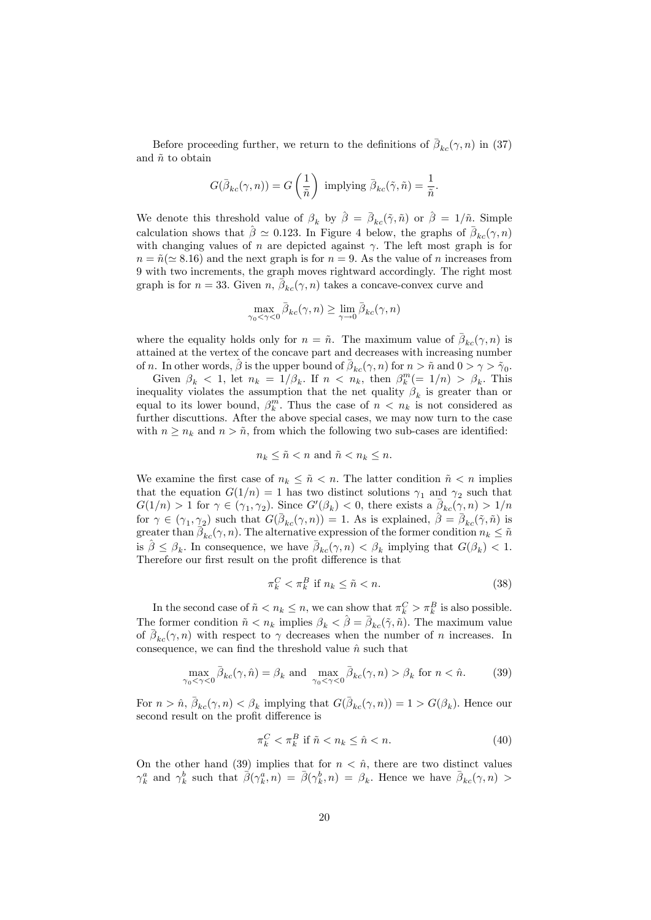Before proceeding further, we return to the definitions of  $\bar{\beta}_{kc}(\gamma, n)$  in (37) and  $\tilde{n}$  to obtain

$$
G(\bar{\beta}_{kc}(\gamma,n)) = G\left(\frac{1}{\tilde{n}}\right) \text{ implying } \bar{\beta}_{kc}(\tilde{\gamma},\tilde{n}) = \frac{1}{\tilde{n}}.
$$

We denote this threshold value of  $\beta_k$  by  $\hat{\beta} = \bar{\beta}_{kc}(\tilde{\gamma}, \tilde{n})$  or  $\hat{\beta} = 1/\tilde{n}$ . Simple calculation shows that  $\hat{\beta} \simeq 0.123$ . In Figure 4 below, the graphs of  $\bar{\beta}_{kc}(\gamma, n)$ with changing values of n are depicted against  $\gamma$ . The left most graph is for  $n = \tilde{n}(\simeq 8.16)$  and the next graph is for  $n = 9$ . As the value of n increases from 9 with two increments, the graph moves rightward accordingly. The right most graph is for  $n = 33$ . Given  $n, \bar{\beta}_{kc}(\gamma, n)$  takes a concave-convex curve and

$$
\max_{\gamma_0 < \gamma < 0} \bar{\beta}_{kc}(\gamma, n) \ge \lim_{\gamma \to 0} \bar{\beta}_{kc}(\gamma, n)
$$

where the equality holds only for  $n = \tilde{n}$ . The maximum value of  $\bar{\beta}_{kc}(\gamma, n)$  is attained at the vertex of the concave part and decreases with increasing number of *n*. In other words,  $\hat{\beta}$  is the upper bound of  $\bar{\beta}_{kc}(\gamma, n)$  for  $n > \tilde{n}$  and  $0 > \gamma > \tilde{\gamma}_0$ .

Given  $\beta_k$  < 1, let  $n_k = 1/\beta_k$ . If  $n \leq n_k$ , then  $\beta_k^m (= 1/n) > \beta_k$ . This inequality violates the assumption that the net quality  $\beta_k$  is greater than or equal to its lower bound,  $\beta_k^m$ . Thus the case of  $n \langle n_k \rangle$  is not considered as further discuttions. After the above special cases, we may now turn to the case with  $n \geq n_k$  and  $n > \tilde{n}$ , from which the following two sub-cases are identified:

$$
n_k \leq \tilde{n} < n \text{ and } \tilde{n} < n_k \leq n.
$$

We examine the first case of  $n_k \leq \tilde{n} < n$ . The latter condition  $\tilde{n} < n$  implies that the equation  $G(1/n) = 1$  has two distinct solutions  $\gamma_1$  and  $\gamma_2$  such that  $G(1/n) > 1$  for  $\gamma \in (\gamma_1, \gamma_2)$ . Since  $G'(\beta_k) < 0$ , there exists a  $\bar{\beta}_{kc}(\gamma, n) > 1/n$ for  $\gamma \in (\gamma_1, \gamma_2)$  such that  $G(\bar{\beta}_{kc}(\gamma, n)) = 1$ . As is explained,  $\hat{\beta} = \bar{\beta}_{kc}(\tilde{\gamma}, \tilde{n})$  is greater than  $\overline{\beta}_{kc}(\gamma, n)$ . The alternative expression of the former condition  $n_k \leq \tilde{n}$ is  $\hat{\beta} \leq \beta_k$ . In consequence, we have  $\bar{\beta}_{kc}(\gamma, n) < \beta_k$  implying that  $G(\beta_k) < 1$ . Therefore our first result on the profit difference is that

$$
\pi_k^C < \pi_k^B \text{ if } n_k \le \tilde{n} < n. \tag{38}
$$

In the second case of  $\tilde{n} < n_k \leq n$ , we can show that  $\pi_k^C > \pi_k^B$  is also possible. The former condition  $\tilde{n} < n_k$  implies  $\beta_k < \hat{\beta} = \bar{\beta}_{kc}(\tilde{\gamma}, \tilde{n})$ . The maximum value of  $\bar{\beta}_{kc}(\gamma, n)$  with respect to  $\gamma$  decreases when the number of n increases. In consequence, we can find the threshold value  $\hat{n}$  such that

$$
\max_{\gamma_0 < \gamma < 0} \bar{\beta}_{kc}(\gamma, \hat{n}) = \beta_k \text{ and } \max_{\gamma_0 < \gamma < 0} \bar{\beta}_{kc}(\gamma, n) > \beta_k \text{ for } n < \hat{n}.\tag{39}
$$

For  $n > \hat{n}$ ,  $\bar{\beta}_{kc}(\gamma, n) < \beta_k$  implying that  $G(\bar{\beta}_{kc}(\gamma, n)) = 1 > G(\beta_k)$ . Hence our second result on the profit difference is

$$
\pi_k^C < \pi_k^B \text{ if } \tilde{n} < n_k \le \hat{n} < n. \tag{40}
$$

On the other hand (39) implies that for  $n < \hat{n}$ , there are two distinct values  $\gamma_k^a$  and  $\gamma_k^b$  such that  $\vec{\beta}(\gamma_k^a,n) = \vec{\beta}(\gamma_k^b,n) = \beta_k$ . Hence we have  $\bar{\beta}_{kc}(\gamma,n) >$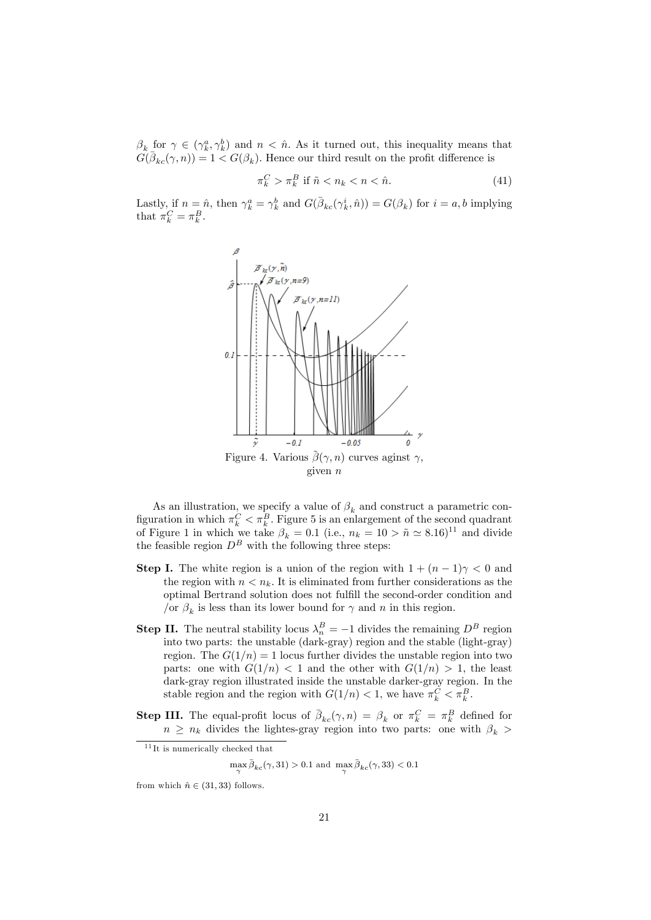$\beta_k$  for  $\gamma \in (\gamma_k^a, \gamma_k^b)$  and  $n < \hat{n}$ . As it turned out, this inequality means that  $G(\bar{\beta}_{kc}(\gamma,n)) = 1 \leq G(\beta_k)$ . Hence our third result on the profit difference is

$$
\pi_k^C > \pi_k^B \text{ if } \tilde{n} < n_k < n < \hat{n}.\tag{41}
$$

Lastly, if  $n = \hat{n}$ , then  $\gamma_k^a = \gamma_k^b$  and  $G(\bar{\beta}_{kc}(\gamma_k^i, \hat{n})) = G(\beta_k)$  for  $i = a, b$  implying that  $\pi_k^C = \pi_k^B$ .



As an illustration, we specify a value of  $\beta_k$  and construct a parametric configuration in which  $\pi_k^C < \pi_k^B$ . Figure 5 is an enlargement of the second quadrant of Figure 1 in which we take  $\beta_k = 0.1$  (i.e.,  $n_k = 10 > \tilde{n} \simeq 8.16$ )<sup>11</sup> and divide the feasible region  $D^B$  with the following three steps:

- **Step I.** The white region is a union of the region with  $1 + (n-1)\gamma < 0$  and the region with  $n \leq n_k$ . It is eliminated from further considerations as the optimal Bertrand solution does not fulfill the second-order condition and /or  $\beta_k$  is less than its lower bound for  $\gamma$  and n in this region.
- **Step II.** The neutral stability locus  $\lambda_n^B = -1$  divides the remaining  $D^B$  region into two parts: the unstable (dark-gray) region and the stable (light-gray) region. The  $G(1/n) = 1$  locus further divides the unstable region into two parts: one with  $G(1/n) < 1$  and the other with  $G(1/n) > 1$ , the least dark-gray region illustrated inside the unstable darker-gray region. In the stable region and the region with  $G(1/n) < 1$ , we have  $\pi_k^C < \pi_k^B$ .
- **Step III.** The equal-profit locus of  $\bar{\beta}_{kc}(\gamma, n) = \beta_k$  or  $\pi_k^C = \pi_k^B$  defined for  $n \geq n_k$  divides the lightes-gray region into two parts: one with  $\beta_k$

 $\max_{\gamma} \bar{\beta}_{kc}(\gamma,31) > 0.1$  and  $\max_{\gamma} \bar{\beta}_{kc}(\gamma,33) < 0.1$ 

 $11$ It is numerically checked that

from which  $\hat{n} \in (31, 33)$  follows.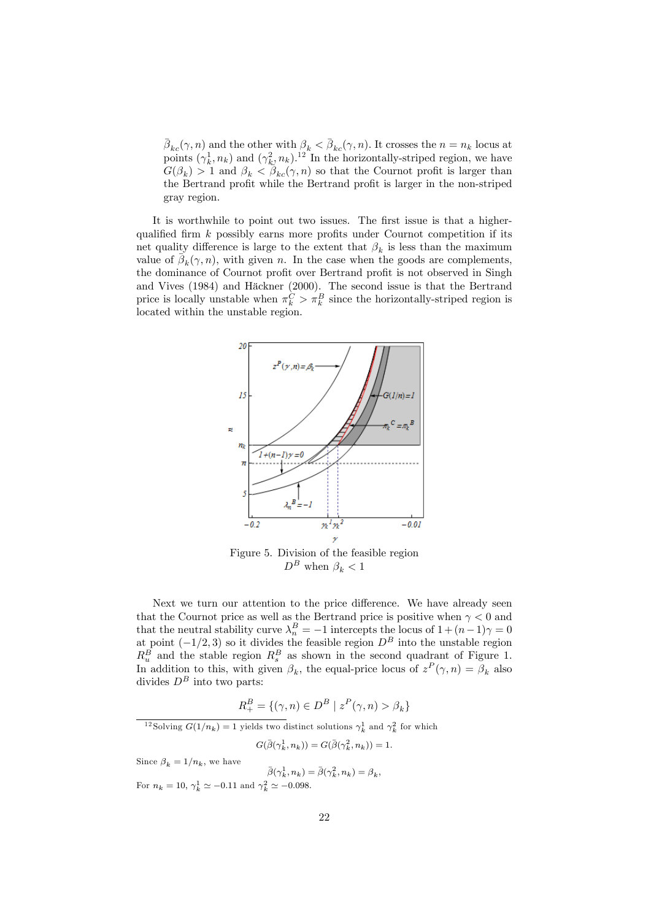$\bar{\beta}_{kc}(\gamma, n)$  and the other with  $\beta_k < \bar{\beta}_{kc}(\gamma, n)$ . It crosses the  $n = n_k$  locus at points  $(\gamma_k^1, n_k)$  and  $(\gamma_k^2, n_k)$ .<sup>12</sup> In the horizontally-striped region, we have  $G(\beta_k) > 1$  and  $\beta_k < \beta_{kc}(\gamma, n)$  so that the Cournot profit is larger than the Bertrand profit while the Bertrand profit is larger in the non-striped gray region.

It is worthwhile to point out two issues. The first issue is that a higherqualified firm  $k$  possibly earns more profits under Cournot competition if its net quality difference is large to the extent that  $\beta_k$  is less than the maximum value of  $\bar{\beta}_k(\gamma, n)$ , with given n. In the case when the goods are complements, the dominance of Cournot profit over Bertrand profit is not observed in Singh and Vives (1984) and Häckner (2000). The second issue is that the Bertrand price is locally unstable when  $\pi_k^C > \pi_k^B$  since the horizontally-striped region is located within the unstable region.



Figure 5. Division of the feasible region  $D^B$  when  $\beta_k < 1$ 

Next we turn our attention to the price difference. We have already seen that the Cournot price as well as the Bertrand price is positive when  $\gamma < 0$  and that the neutral stability curve  $\lambda_n^B = -1$  intercepts the locus of  $1 + (n-1)\gamma = 0$ at point  $(-1/2, 3)$  so it divides the feasible region  $D^B$  into the unstable region  $R_u^B$  and the stable region  $R_s^B$  as shown in the second quadrant of Figure 1. In addition to this, with given  $\beta_k$ , the equal-price locus of  $z^P(\gamma, n) = \beta_k$  also divides  $D^B$  into two parts:

$$
R_+^B = \{ (\gamma, n) \in D^B \mid z^P(\gamma, n) > \beta_k \}
$$

<sup>12</sup>Solving  $G(1/n_k) = 1$  yields two distinct solutions  $\gamma_k^1$  and  $\gamma_k^2$  for which

 $G(\bar{\beta}(\gamma_k^1, n_k)) = G(\bar{\beta}(\gamma_k^2, n_k)) = 1.$ 

Since  $\beta_k = 1/n_k$ , we have  $\bar{\beta}(\gamma_k^1, n_k) = \bar{\beta}(\gamma_k^2, n_k) = \beta_k,$ For  $n_k = 10, \gamma_k^1 \simeq -0.11$  and  $\gamma_k^2 \simeq -0.098$ .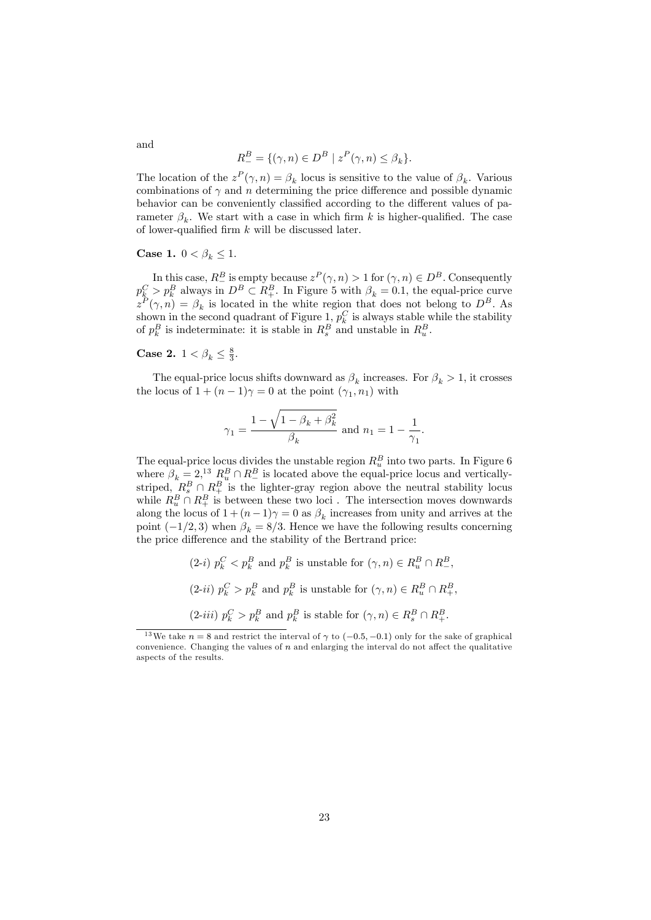$$
R_{-}^{B} = \{(\gamma, n) \in D^{B} \mid z^{P}(\gamma, n) \leq \beta_{k}\}.
$$

The location of the  $z^P(\gamma, n) = \beta_k$  locus is sensitive to the value of  $\beta_k$ . Various combinations of  $\gamma$  and n determining the price difference and possible dynamic behavior can be conveniently classified according to the different values of parameter  $\beta_k$ . We start with a case in which firm k is higher-qualified. The case of lower-qualified firm  $k$  will be discussed later.

#### Case 1.  $0 < \beta_k \leq 1$ .

In this case,  $R^B$  is empty because  $z^P(\gamma, n) > 1$  for  $(\gamma, n) \in D^B$ . Consequently  $p_k^C > p_k^B$  always in  $D^B \subset R_+^B$ . In Figure 5 with  $\beta_k = 0.1$ , the equal-price curve  $z^P(\gamma, n) = \beta_k$  is located in the white region that does not belong to  $D^B$ . As shown in the second quadrant of Figure 1,  $p_k^C$  is always stable while the stability of  $p_k^B$  is indeterminate: it is stable in  $R_s^B$  and unstable in  $R_u^B$ .

# Case 2.  $1 < \beta_k \leq \frac{8}{3}$ .

The equal-price locus shifts downward as  $\beta_k$  increases. For  $\beta_k > 1$ , it crosses the locus of  $1 + (n - 1)\gamma = 0$  at the point  $(\gamma_1, n_1)$  with

$$
\gamma_1=\frac{1-\sqrt{1-\beta_k+\beta_k^2}}{\beta_k}\text{ and }n_1=1-\frac{1}{\gamma_1}.
$$

The equal-price locus divides the unstable region  $R_u^B$  into two parts. In Figure 6 where  $\beta_k = 2$ ,<sup>13</sup>  $R_o^B \cap R_{\perp}^B$  is located above the equal-price locus and vertically-<br>striped,  $R_s^B \cap R_{\perp}^B$  is the lighter-gray region above the neutral stability locus while  $R_u^B \cap R_+^B$  is between these two loci. The intersection moves downwards along the locus of  $1 + (n-1)\gamma = 0$  as  $\beta_k$  increases from unity and arrives at the point  $(-1/2, 3)$  when  $\beta_k = 8/3$ . Hence we have the following results concerning the price difference and the stability of the Bertrand price:

> $(2-i)$   $p_k^C < p_k^B$  and  $p_k^B$  is unstable for  $(\gamma, n) \in R_u^B \cap R_z^B$ ,  $(2\text{-}ii)$   $p_k^C > p_k^B$  and  $p_k^B$  is unstable for  $(\gamma, n) \in R_u^B \cap R_+^B$ ,  $(2-iii)$   $p_k^C > p_k^B$  and  $p_k^B$  is stable for  $(\gamma, n) \in R_s^B \cap R_+^B$ .

and

<sup>&</sup>lt;sup>13</sup>We take  $n = 8$  and restrict the interval of  $\gamma$  to  $(-0.5, -0.1)$  only for the sake of graphical convenience. Changing the values of  $n$  and enlarging the interval do not affect the qualitative aspects of the results.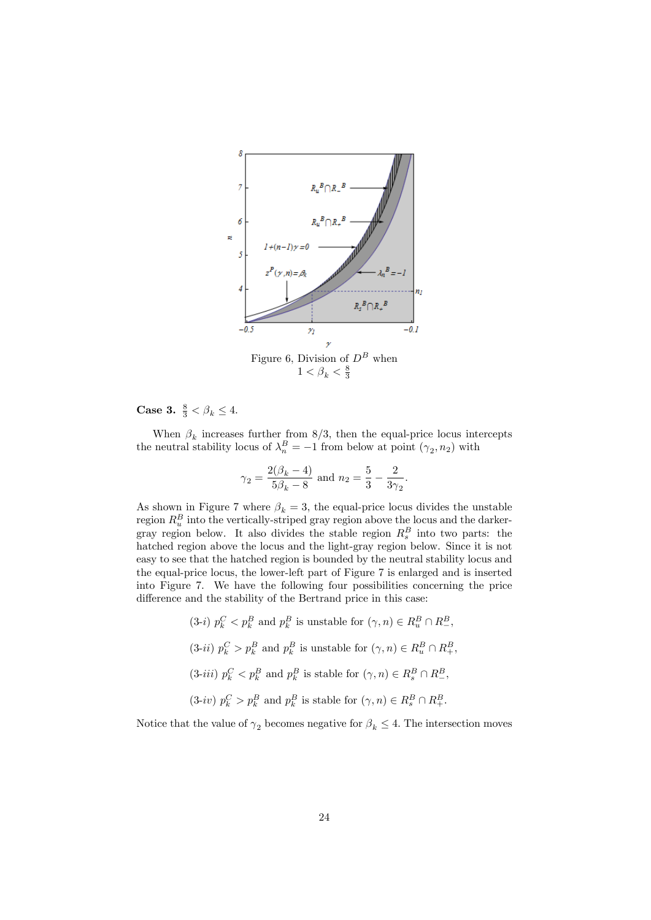

**Case 3.**  $\frac{8}{3} < \beta_k \leq 4$ .

When  $\beta_k$  increases further from 8/3, then the equal-price locus intercepts the neutral stability locus of  $\lambda_n^B = -1$  from below at point  $(\gamma_2, n_2)$  with

$$
\gamma_2 = \frac{2(\beta_k - 4)}{5\beta_k - 8}
$$
 and  $n_2 = \frac{5}{3} - \frac{2}{3\gamma_2}$ .

As shown in Figure 7 where  $\beta_k = 3$ , the equal-price locus divides the unstable region  $R_u^B$  into the vertically-striped gray region above the locus and the darkergray region below. It also divides the stable region  $R_s^B$  into two parts: the hatched region above the locus and the light-gray region below. Since it is not easy to see that the hatched region is bounded by the neutral stability locus and the equal-price locus, the lower-left part of Figure 7 is enlarged and is inserted into Figure 7. We have the following four possibilities concerning the price difference and the stability of the Bertrand price in this case:

> $(3-i)$   $p_k^C < p_k^B$  and  $p_k^B$  is unstable for  $(\gamma, n) \in R_u^B \cap R_z^B$ , (3-*ii*)  $p_k^C > p_k^B$  and  $p_k^B$  is unstable for  $(\gamma, n) \in R_u^B \cap R_+^B$ ,  $(3-iii)$   $p_k^C < p_k^B$  and  $p_k^B$  is stable for  $(\gamma, n) \in R_s^B \cap R_-^B$ ,  $(3-i\nu)$   $p_k^C > p_k^B$  and  $p_k^B$  is stable for  $(\gamma, n) \in R_s^B \cap R_+^B$ .

Notice that the value of  $\gamma_2$  becomes negative for  $\beta_k \leq 4$ . The intersection moves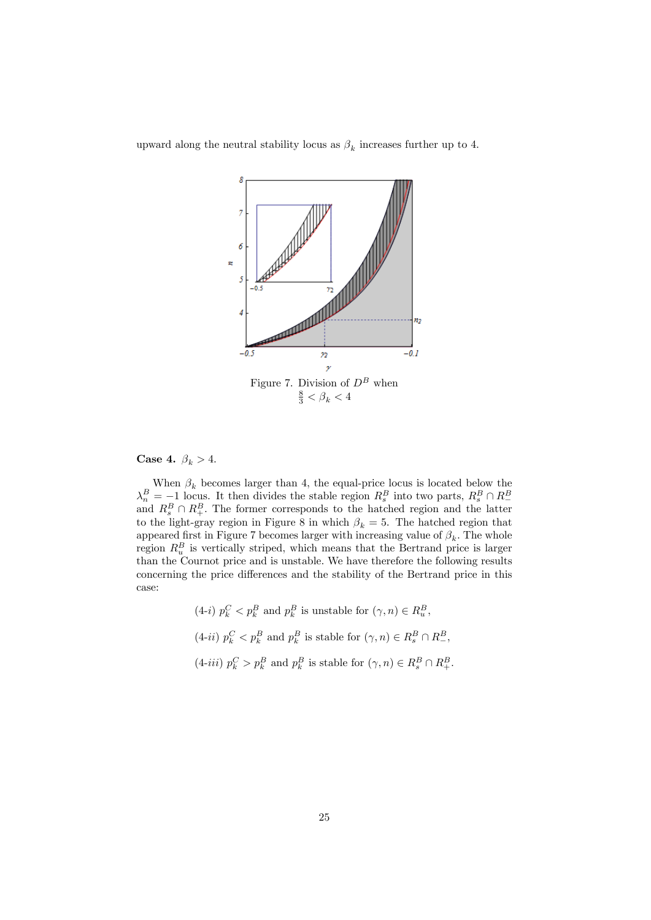

upward along the neutral stability locus as  $\beta_k$  increases further up to 4.

#### Case 4.  $\beta_k > 4$ .

When  $\beta_k$  becomes larger than 4, the equal-price locus is located below the  $\lambda_n^B = -1$  locus. It then divides the stable region  $R_s^B$  into two parts,  $R_s^B \cap R_-^B$  and  $R_s^B \cap R_+^B$ . The former corresponds to the hatched region and the latter to the light-gray region in Figure 8 in which  $\beta_k = 5$ . The hatched region that appeared first in Figure 7 becomes larger with increasing value of  $\beta_k$ . The whole region  $R_u^B$  is vertically striped, which means that the Bertrand price is larger than the Cournot price and is unstable. We have therefore the following results concerning the price differences and the stability of the Bertrand price in this case:

\n- (4-i) 
$$
p_k^C < p_k^B
$$
 and  $p_k^B$  is unstable for  $(\gamma, n) \in R_u^B$ ,
\n- (4-ii)  $p_k^C < p_k^B$  and  $p_k^B$  is stable for  $(\gamma, n) \in R_s^B \cap R_-^B$ ,
\n- (4-iii)  $p_k^C > p_k^B$  and  $p_k^B$  is stable for  $(\gamma, n) \in R_s^B \cap R_+^B$ .
\n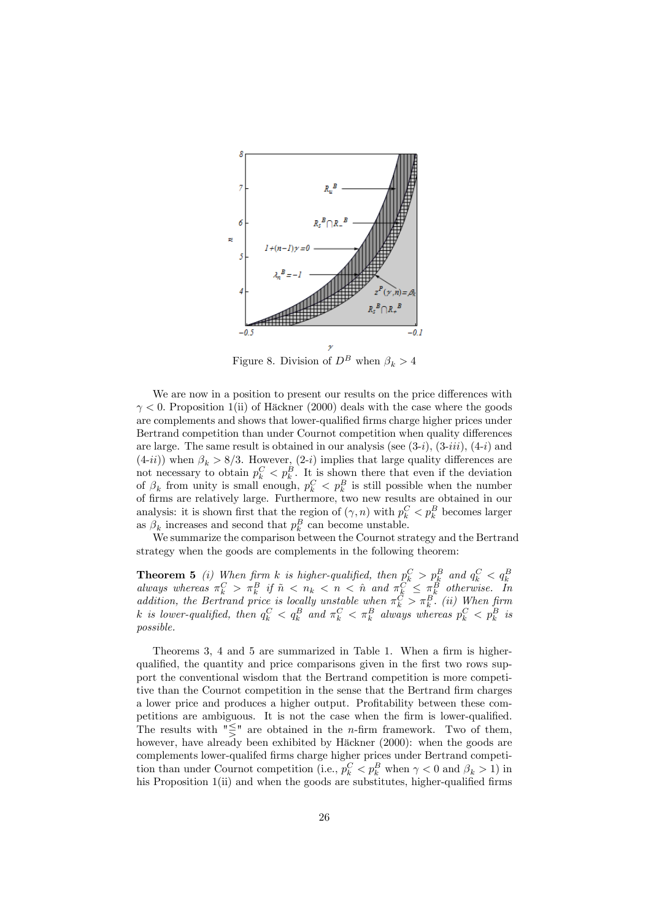

Figure 8. Division of  $D^B$  when  $\beta_k > 4$ 

We are now in a position to present our results on the price differences with  $\gamma$  < 0. Proposition 1(ii) of Häckner (2000) deals with the case where the goods are complements and shows that lower-qualified firms charge higher prices under Bertrand competition than under Cournot competition when quality differences are large. The same result is obtained in our analysis (see  $(3-i)$ ,  $(3-iii)$ ,  $(4-i)$  and  $(4-i i)$ ) when  $\beta_k > 8/3$ . However,  $(2-i)$  implies that large quality differences are not necessary to obtain  $p_k^C < p_k^B$ . It is shown there that even if the deviation of  $\beta_k$  from unity is small enough,  $p_k^C < p_k^B$  is still possible when the number of Örms are relatively large. Furthermore, two new results are obtained in our analysis: it is shown first that the region of  $(\gamma, n)$  with  $p_k^C < p_k^B$  becomes larger as  $\beta_k$  increases and second that  $p_k^B$  can become unstable.

We summarize the comparison between the Cournot strategy and the Bertrand strategy when the goods are complements in the following theorem:

**Theorem 5** (i) When firm k is higher-qualified, then  $p_k^C > p_k^B$  and  $q_k^C < q_k^B$ <br>always whereas  $\pi_k^C > \pi_k^B$  if  $\tilde{n} < n_k < n < \hat{n}$  and  $\pi_k^C \leq \pi_k^B$  otherwise. In addition, the Bertrand price is locally unstable when  $\pi_k^C > \pi_k^B$ . (ii) When firm k is lower-qualified, then  $q_k^C < q_k^B$  and  $\pi_k^C < \pi_k^B$  always whereas  $p_k^C < p_k^B$  is possible.

Theorems 3, 4 and 5 are summarized in Table 1. When a firm is higherqualified, the quantity and price comparisons given in the first two rows support the conventional wisdom that the Bertrand competition is more competitive than the Cournot competition in the sense that the Bertrand firm charges a lower price and produces a higher output. Profitability between these competitions are ambiguous. It is not the case when the firm is lower-qualified. The results with " $\leq$ " are obtained in the *n*-firm framework. Two of them, however, have already been exhibited by Häckner (2000): when the goods are complements lower-qualifed Örms charge higher prices under Bertrand competition than under Cournot competition (i.e.,  $p_k^C < p_k^B$  when  $\gamma < 0$  and  $\beta_k > 1$ ) in his Proposition  $1(i)$  and when the goods are substitutes, higher-qualified firms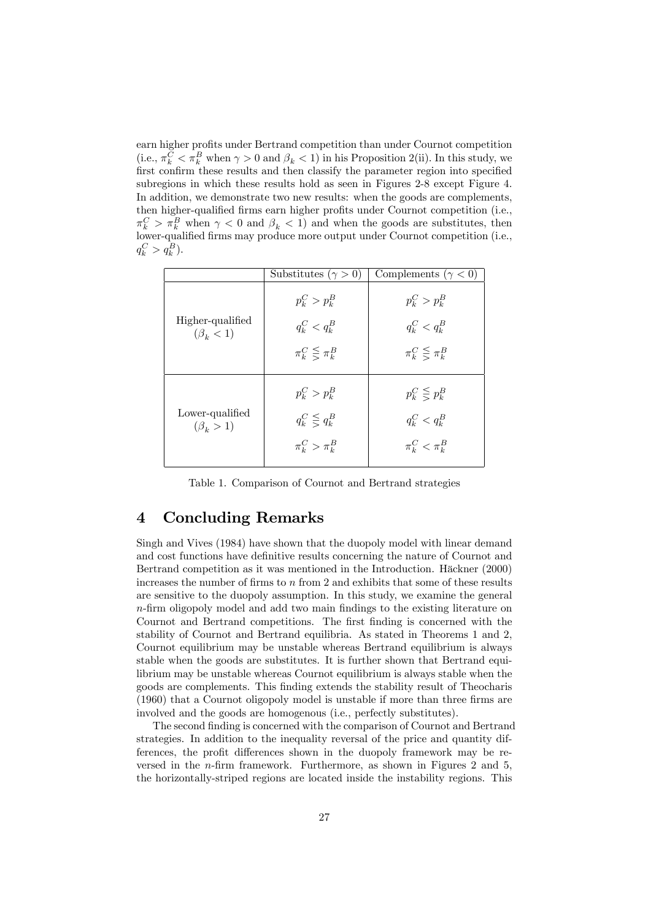earn higher profits under Bertrand competition than under Cournot competition (i.e.,  $\pi_k^C < \pi_k^B$  when  $\gamma > 0$  and  $\beta_k < 1$ ) in his Proposition 2(ii). In this study, we first confirm these results and then classify the parameter region into specified subregions in which these results hold as seen in Figures 2-8 except Figure 4. In addition, we demonstrate two new results: when the goods are complements, then higher-qualified firms earn higher profits under Cournot competition (i.e.,  $\pi_k^C > \pi_k^B$  when  $\gamma < 0$  and  $\beta_k < 1$ ) and when the goods are substitutes, then lower-qualified firms may produce more output under Cournot competition (i.e.,  $q_k^C > q_k^B$ ).

|                                     | Substitutes ( $\gamma > 0$ ) | Complements ( $\gamma$ < 0) |
|-------------------------------------|------------------------------|-----------------------------|
| Higher-qualified<br>$(\beta_k < 1)$ | $p_k^C > p_k^B$              | $p_k^C > p_k^B$             |
|                                     | $q_k^C < q_k^B$              | $q_k^C < q_k^B$             |
|                                     | $\pi_k^C \leq \pi_k^B$       | $\pi_k^C \leq \pi_k^B$      |
| Lower-qualified<br>$(\beta_k > 1)$  | $p_k^C > p_k^B$              | $p_k^C \leq p_k^B$          |
|                                     | $q_k^C \leq q_k^B$           | $q_k^C < q_k^B$             |
|                                     | $\pi_k^C > \pi_k^B$          | $\pi_k^C < \pi_k^B$         |

Table 1. Comparison of Cournot and Bertrand strategies

# 4 Concluding Remarks

Singh and Vives (1984) have shown that the duopoly model with linear demand and cost functions have definitive results concerning the nature of Cournot and Bertrand competition as it was mentioned in the Introduction. Häckner (2000) increases the number of firms to  $n$  from 2 and exhibits that some of these results are sensitive to the duopoly assumption. In this study, we examine the general  $n$ -firm oligopoly model and add two main findings to the existing literature on Cournot and Bertrand competitions. The first finding is concerned with the stability of Cournot and Bertrand equilibria. As stated in Theorems 1 and 2, Cournot equilibrium may be unstable whereas Bertrand equilibrium is always stable when the goods are substitutes. It is further shown that Bertrand equilibrium may be unstable whereas Cournot equilibrium is always stable when the goods are complements. This Önding extends the stability result of Theocharis  $(1960)$  that a Cournot oligopoly model is unstable if more than three firms are involved and the goods are homogenous (i.e., perfectly substitutes).

The second finding is concerned with the comparison of Cournot and Bertrand strategies. In addition to the inequality reversal of the price and quantity differences, the profit differences shown in the duopoly framework may be reversed in the  $n$ -firm framework. Furthermore, as shown in Figures 2 and 5, the horizontally-striped regions are located inside the instability regions. This